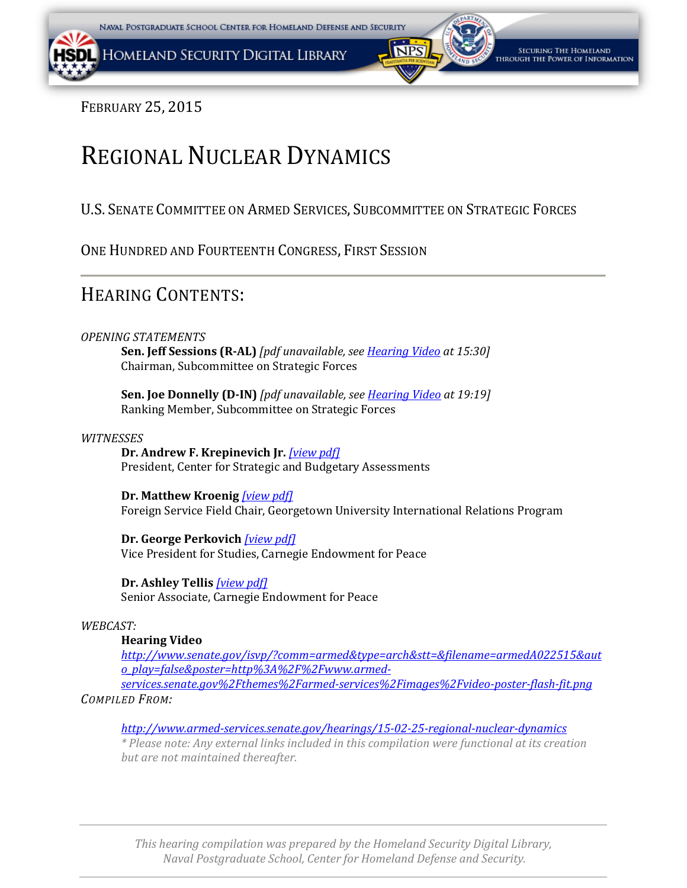<span id="page-0-0"></span>



FEBRUARY 25, 2015

# REGIONAL NUCLEAR DYNAMICS

# U.S. SENATE COMMITTEE ON ARMED SERVICES, SUBCOMMITTEE ON STRATEGIC FORCES

ONE HUNDRED AND FOURTEENTH CONGRESS, FIRST SESSION

# HEARING CONTENTS:

# *OPENING STATEMENTS*

**Sen. Jeff Sessions (R-AL)** *[pdf unavailable, see [Hearing Video](http://www.senate.gov/isvp/?comm=armed&type=arch&stt=&filename=armedA022515&auto_play=false&poster=http%3A%2F%2Fwww.armed-services.senate.gov%2Fthemes%2Farmed-services%2Fimages%2Fvideo-poster-flash-fit.png) at 15:30]* Chairman, Subcommittee on Strategic Forces

**Sen. Joe Donnelly (D-IN)** *[pdf unavailable, se[e Hearing Video](http://www.senate.gov/isvp/?comm=armed&type=arch&stt=&filename=armedA022515&auto_play=false&poster=http%3A%2F%2Fwww.armed-services.senate.gov%2Fthemes%2Farmed-services%2Fimages%2Fvideo-poster-flash-fit.png) at 19:19]* Ranking Member, Subcommittee on Strategic Forces

## *WITNESSES*

**Dr. Andrew F. Krepinevich Jr.** *[\[view pdf\]](#page-0-0)* President, Center for Strategic and Budgetary Assessments

**Dr. Matthew Kroenig** *[\[](#page-0-0)[view pdf](#page-16-0)[\]](#page-0-0)* Foreign Service Field Chair, Georgetown University International Relations Program

**Dr. George Perkovich** *[\[](#page-0-0)[view pdf\]](#page-21-0)* Vice President for Studies, Carnegie Endowment for Peace

**Dr. Ashley Tellis** *[\[view pdf\]](#page-0-0)* Senior Associate, Carnegie Endowment for Peace

# *WEBCAST:*

# **Hearing Video**

*[http://www.senate.gov/isvp/?comm=armed&type=arch&stt=&filename=armedA022515&aut](http://www.senate.gov/isvp/?comm=armed&type=arch&stt=&filename=armedA022515&auto_play=false&poster=http%3A%2F%2Fwww.armed-services.senate.gov%2Fthemes%2Farmed-services%2Fimages%2Fvideo-poster-flash-fit.png) [o\\_play=false&poster=http%3A%2F%2Fwww.armed-](http://www.senate.gov/isvp/?comm=armed&type=arch&stt=&filename=armedA022515&auto_play=false&poster=http%3A%2F%2Fwww.armed-services.senate.gov%2Fthemes%2Farmed-services%2Fimages%2Fvideo-poster-flash-fit.png)*

*[services.senate.gov%2Fthemes%2Farmed-services%2Fimages%2Fvideo-poster-flash-fit.png](http://www.senate.gov/isvp/?comm=armed&type=arch&stt=&filename=armedA022515&auto_play=false&poster=http%3A%2F%2Fwww.armed-services.senate.gov%2Fthemes%2Farmed-services%2Fimages%2Fvideo-poster-flash-fit.png) COMPILED FROM:*

*<http://www.armed-services.senate.gov/hearings/15-02-25-regional-nuclear-dynamics> \* Please note: Any external links included in this compilation were functional at its creation but are not maintained thereafter.*

*This hearing compilation was prepared by the Homeland Security Digital Library, Naval Postgraduate School, Center for Homeland Defense and Security.*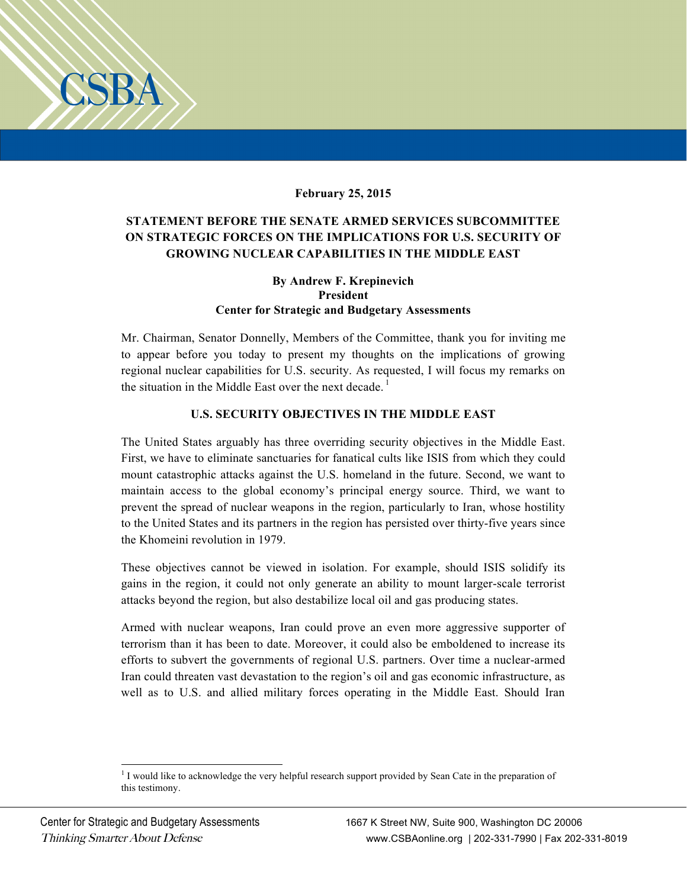<span id="page-1-0"></span>

#### **February 25, 2015**

## **STATEMENT BEFORE THE SENATE ARMED SERVICES SUBCOMMITTEE ON STRATEGIC FORCES ON THE IMPLICATIONS FOR U.S. SECURITY OF GROWING NUCLEAR CAPABILITIES IN THE MIDDLE EAST**

### **By Andrew F. Krepinevich President Center for Strategic and Budgetary Assessments**

Mr. Chairman, Senator Donnelly, Members of the Committee, thank you for inviting me to appear before you today to present my thoughts on the implications of growing regional nuclear capabilities for U.S. security. As requested, I will focus my remarks on the situation in the Middle East over the next decade.<sup>1</sup>

#### **U.S. SECURITY OBJECTIVES IN THE MIDDLE EAST**

The United States arguably has three overriding security objectives in the Middle East. First, we have to eliminate sanctuaries for fanatical cults like ISIS from which they could mount catastrophic attacks against the U.S. homeland in the future. Second, we want to maintain access to the global economy's principal energy source. Third, we want to prevent the spread of nuclear weapons in the region, particularly to Iran, whose hostility to the United States and its partners in the region has persisted over thirty-five years since the Khomeini revolution in 1979.

These objectives cannot be viewed in isolation. For example, should ISIS solidify its gains in the region, it could not only generate an ability to mount larger-scale terrorist attacks beyond the region, but also destabilize local oil and gas producing states.

Armed with nuclear weapons, Iran could prove an even more aggressive supporter of terrorism than it has been to date. Moreover, it could also be emboldened to increase its efforts to subvert the governments of regional U.S. partners. Over time a nuclear-armed Iran could threaten vast devastation to the region's oil and gas economic infrastructure, as well as to U.S. and allied military forces operating in the Middle East. Should Iran

 $1$  I would like to acknowledge the very helpful research support provided by Sean Cate in the preparation of this testimony.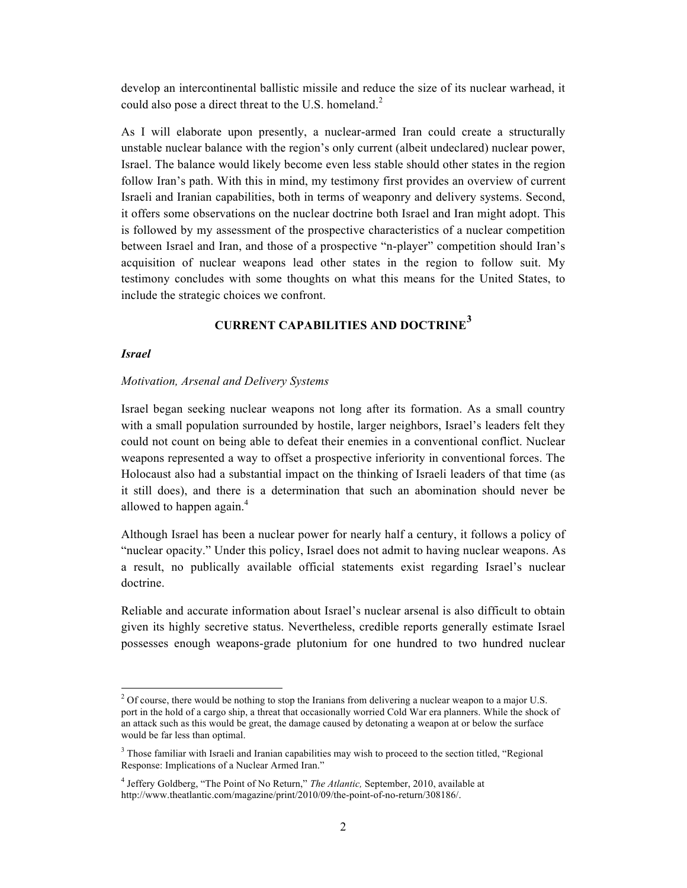develop an intercontinental ballistic missile and reduce the size of its nuclear warhead, it could also pose a direct threat to the U.S. homeland.<sup>2</sup>

As I will elaborate upon presently, a nuclear-armed Iran could create a structurally unstable nuclear balance with the region's only current (albeit undeclared) nuclear power, Israel. The balance would likely become even less stable should other states in the region follow Iran's path. With this in mind, my testimony first provides an overview of current Israeli and Iranian capabilities, both in terms of weaponry and delivery systems. Second, it offers some observations on the nuclear doctrine both Israel and Iran might adopt. This is followed by my assessment of the prospective characteristics of a nuclear competition between Israel and Iran, and those of a prospective "n-player" competition should Iran's acquisition of nuclear weapons lead other states in the region to follow suit. My testimony concludes with some thoughts on what this means for the United States, to include the strategic choices we confront.

# **CURRENT CAPABILITIES AND DOCTRINE<sup>3</sup>**

#### *Israel*

#### *Motivation, Arsenal and Delivery Systems*

Israel began seeking nuclear weapons not long after its formation. As a small country with a small population surrounded by hostile, larger neighbors, Israel's leaders felt they could not count on being able to defeat their enemies in a conventional conflict. Nuclear weapons represented a way to offset a prospective inferiority in conventional forces. The Holocaust also had a substantial impact on the thinking of Israeli leaders of that time (as it still does), and there is a determination that such an abomination should never be allowed to happen again.<sup>4</sup>

Although Israel has been a nuclear power for nearly half a century, it follows a policy of "nuclear opacity." Under this policy, Israel does not admit to having nuclear weapons. As a result, no publically available official statements exist regarding Israel's nuclear doctrine.

Reliable and accurate information about Israel's nuclear arsenal is also difficult to obtain given its highly secretive status. Nevertheless, credible reports generally estimate Israel possesses enough weapons-grade plutonium for one hundred to two hundred nuclear

 $2$  Of course, there would be nothing to stop the Iranians from delivering a nuclear weapon to a major U.S. port in the hold of a cargo ship, a threat that occasionally worried Cold War era planners. While the shock of an attack such as this would be great, the damage caused by detonating a weapon at or below the surface would be far less than optimal.

<sup>&</sup>lt;sup>3</sup> Those familiar with Israeli and Iranian capabilities may wish to proceed to the section titled, "Regional Response: Implications of a Nuclear Armed Iran."

<sup>4</sup> Jeffery Goldberg, "The Point of No Return," *The Atlantic,* September, 2010, available at http://www.theatlantic.com/magazine/print/2010/09/the-point-of-no-return/308186/.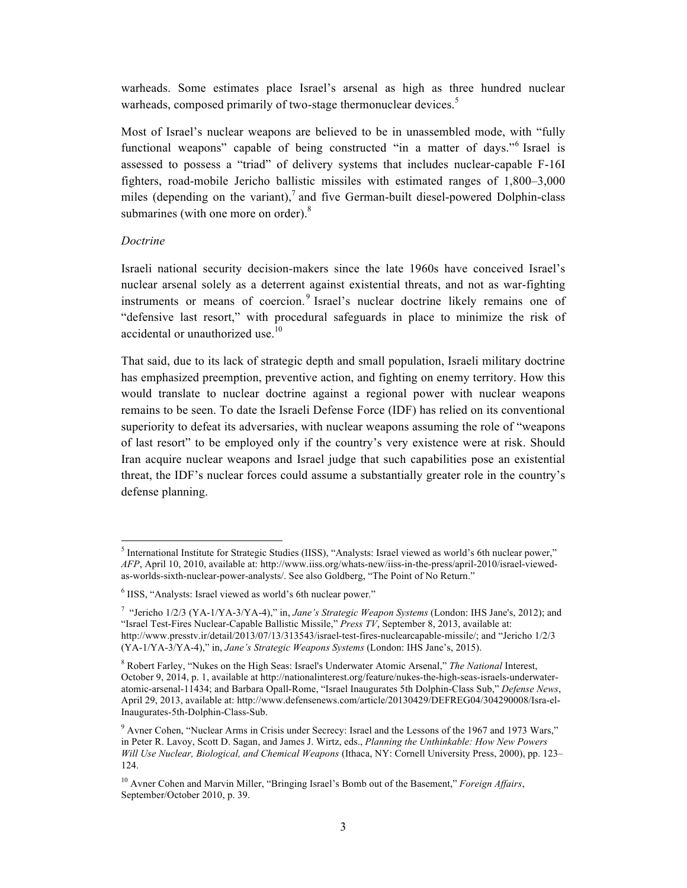warheads. Some estimates place Israel's arsenal as high as three hundred nuclear warheads, composed primarily of two-stage thermonuclear devices.<sup>5</sup>

Most of Israel's nuclear weapons are believed to be in unassembled mode, with "fully functional weapons" capable of being constructed "in a matter of days."<sup>6</sup> Israel is assessed to possess a "triad" of delivery systems that includes nuclear-capable F-16I fighters, road-mobile Jericho ballistic missiles with estimated ranges of 1,800–3,000 miles (depending on the variant),<sup>7</sup> and five German-built diesel-powered Dolphin-class submarines (with one more on order).<sup>8</sup>

#### *Doctrine*

Israeli national security decision-makers since the late 1960s have conceived Israel's nuclear arsenal solely as a deterrent against existential threats, and not as war-fighting instruments or means of coercion.<sup>9</sup> Israel's nuclear doctrine likely remains one of "defensive last resort," with procedural safeguards in place to minimize the risk of accidental or unauthorized use.<sup>10</sup>

That said, due to its lack of strategic depth and small population, Israeli military doctrine has emphasized preemption, preventive action, and fighting on enemy territory. How this would translate to nuclear doctrine against a regional power with nuclear weapons remains to be seen. To date the Israeli Defense Force (IDF) has relied on its conventional superiority to defeat its adversaries, with nuclear weapons assuming the role of "weapons of last resort" to be employed only if the country's very existence were at risk. Should Iran acquire nuclear weapons and Israel judge that such capabilities pose an existential threat, the IDF's nuclear forces could assume a substantially greater role in the country's defense planning.

 <sup>5</sup> International Institute for Strategic Studies (IISS), "Analysts: Israel viewed as world's 6th nuclear power," *AFP*, April 10, 2010, available at: http://www.iiss.org/whats-new/iiss-in-the-press/april-2010/israel-viewedas-worlds-sixth-nuclear-power-analysts/. See also Goldberg, "The Point of No Return."

<sup>6</sup> IISS, "Analysts: Israel viewed as world's 6th nuclear power."

<sup>7</sup> "Jericho 1/2/3 (YA-1/YA-3/YA-4)," in, *Jane's Strategic Weapon Systems* (London: IHS Jane's, 2012); and "Israel Test-Fires Nuclear-Capable Ballistic Missile," *Press TV*, September 8, 2013, available at: http://www.presstv.ir/detail/2013/07/13/313543/israel-test-fires-nuclearcapable-missile/; and "Jericho 1/2/3 (YA-1/YA-3/YA-4)," in, *Jane's Strategic Weapons Systems* (London: IHS Jane's, 2015).

<sup>8</sup> Robert Farley, "Nukes on the High Seas: Israel's Underwater Atomic Arsenal," *The National* Interest, October 9, 2014, p. 1, available at http://nationalinterest.org/feature/nukes-the-high-seas-israels-underwateratomic-arsenal-11434; and Barbara Opall-Rome, "Israel Inaugurates 5th Dolphin-Class Sub," *Defense News*, April 29, 2013, available at: http://www.defensenews.com/article/20130429/DEFREG04/304290008/Isra-el-Inaugurates-5th-Dolphin-Class-Sub.

<sup>9</sup> Avner Cohen, "Nuclear Arms in Crisis under Secrecy: Israel and the Lessons of the 1967 and 1973 Wars," in Peter R. Lavoy, Scott D. Sagan, and James J. Wirtz, eds., *Planning the Unthinkable: How New Powers Will Use Nuclear, Biological, and Chemical Weapons* (Ithaca, NY: Cornell University Press, 2000), pp. 123– 124.

<sup>10</sup> Avner Cohen and Marvin Miller, "Bringing Israel's Bomb out of the Basement," *Foreign Affairs*, September/October 2010, p. 39.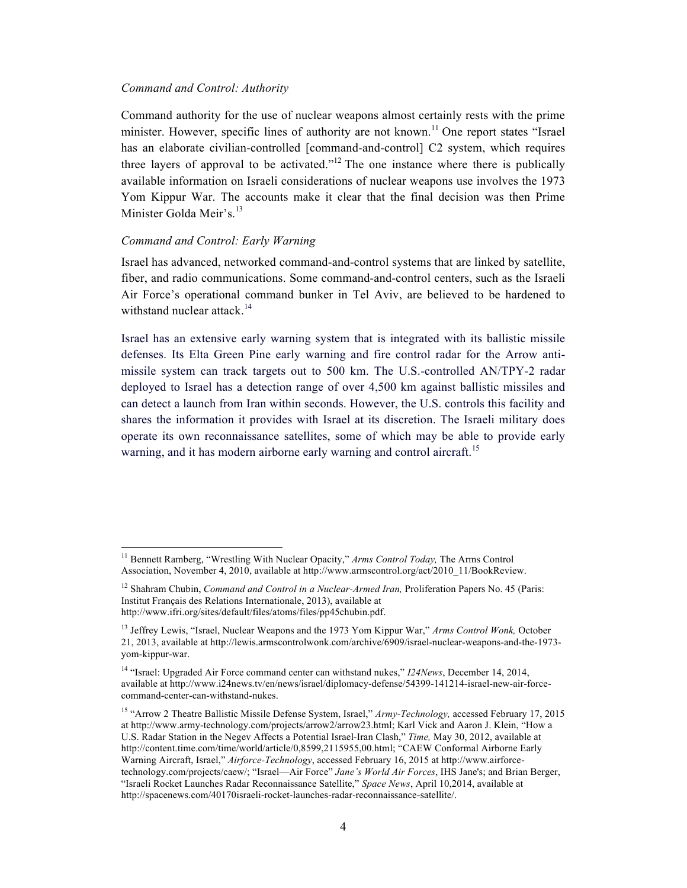#### *Command and Control: Authority*

Command authority for the use of nuclear weapons almost certainly rests with the prime minister. However, specific lines of authority are not known.<sup>11</sup> One report states "Israel" has an elaborate civilian-controlled [command-and-control] C2 system, which requires three layers of approval to be activated.<sup> $12$ </sup> The one instance where there is publically available information on Israeli considerations of nuclear weapons use involves the 1973 Yom Kippur War. The accounts make it clear that the final decision was then Prime Minister Golda Meir's. $^{13}$ 

#### *Command and Control: Early Warning*

Israel has advanced, networked command-and-control systems that are linked by satellite, fiber, and radio communications. Some command-and-control centers, such as the Israeli Air Force's operational command bunker in Tel Aviv, are believed to be hardened to withstand nuclear attack.<sup>14</sup>

Israel has an extensive early warning system that is integrated with its ballistic missile defenses. Its Elta Green Pine early warning and fire control radar for the Arrow antimissile system can track targets out to 500 km. The U.S.-controlled AN/TPY-2 radar deployed to Israel has a detection range of over 4,500 km against ballistic missiles and can detect a launch from Iran within seconds. However, the U.S. controls this facility and shares the information it provides with Israel at its discretion. The Israeli military does operate its own reconnaissance satellites, some of which may be able to provide early warning, and it has modern airborne early warning and control aircraft.<sup>15</sup>

 <sup>11</sup> Bennett Ramberg, "Wrestling With Nuclear Opacity," *Arms Control Today,* The Arms Control Association, November 4, 2010, available at http://www.armscontrol.org/act/2010\_11/BookReview.

<sup>&</sup>lt;sup>12</sup> Shahram Chubin, *Command and Control in a Nuclear-Armed Iran*, Proliferation Papers No. 45 (Paris: Institut Français des Relations Internationale, 2013), available at http://www.ifri.org/sites/default/files/atoms/files/pp45chubin.pdf.

<sup>13</sup> Jeffrey Lewis, "Israel, Nuclear Weapons and the 1973 Yom Kippur War," *Arms Control Wonk,* October 21, 2013, available at http://lewis.armscontrolwonk.com/archive/6909/israel-nuclear-weapons-and-the-1973 yom-kippur-war.

<sup>14</sup> "Israel: Upgraded Air Force command center can withstand nukes," *I24News*, December 14, 2014, available at http://www.i24news.tv/en/news/israel/diplomacy-defense/54399-141214-israel-new-air-forcecommand-center-can-withstand-nukes.

<sup>15</sup> "Arrow 2 Theatre Ballistic Missile Defense System, Israel," *Army-Technology,* accessed February 17, 2015 at http://www.army-technology.com/projects/arrow2/arrow23.html; Karl Vick and Aaron J. Klein, "How a U.S. Radar Station in the Negev Affects a Potential Israel-Iran Clash," *Time,* May 30, 2012, available at http://content.time.com/time/world/article/0,8599,2115955,00.html; "CAEW Conformal Airborne Early Warning Aircraft, Israel," *Airforce-Technology*, accessed February 16, 2015 at http://www.airforcetechnology.com/projects/caew/; "Israel—Air Force" *Jane's World Air Forces*, IHS Jane's; and Brian Berger, "Israeli Rocket Launches Radar Reconnaissance Satellite," *Space News*, April 10,2014, available at http://spacenews.com/40170israeli-rocket-launches-radar-reconnaissance-satellite/.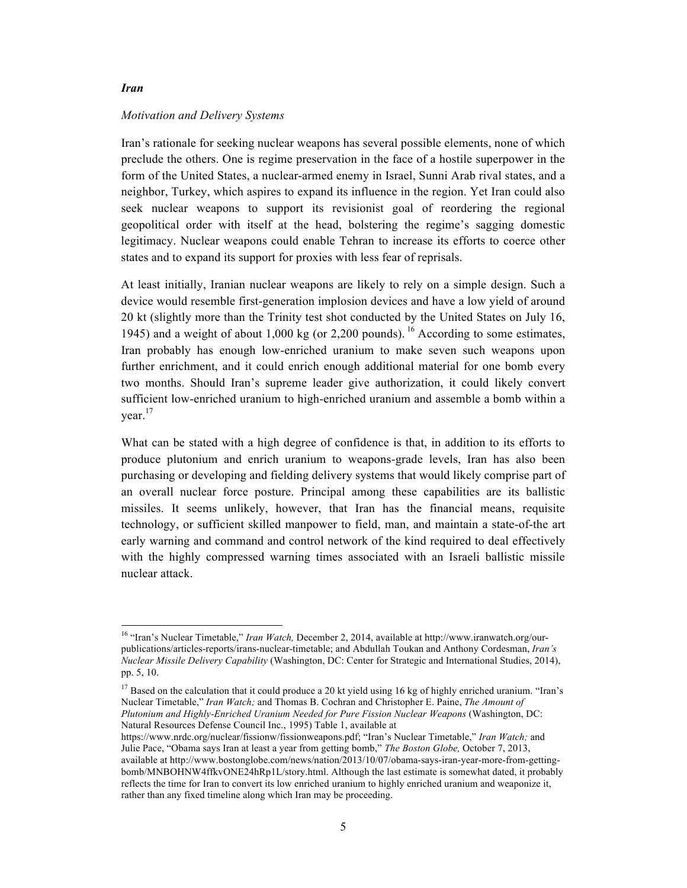#### *Iran*

#### *Motivation and Delivery Systems*

Iran's rationale for seeking nuclear weapons has several possible elements, none of which preclude the others. One is regime preservation in the face of a hostile superpower in the form of the United States, a nuclear-armed enemy in Israel, Sunni Arab rival states, and a neighbor, Turkey, which aspires to expand its influence in the region. Yet Iran could also seek nuclear weapons to support its revisionist goal of reordering the regional geopolitical order with itself at the head, bolstering the regime's sagging domestic legitimacy. Nuclear weapons could enable Tehran to increase its efforts to coerce other states and to expand its support for proxies with less fear of reprisals.

At least initially, Iranian nuclear weapons are likely to rely on a simple design. Such a device would resemble first-generation implosion devices and have a low yield of around 20 kt (slightly more than the Trinity test shot conducted by the United States on July 16, 1945) and a weight of about 1,000 kg (or 2,200 pounds). <sup>16</sup> According to some estimates, Iran probably has enough low-enriched uranium to make seven such weapons upon further enrichment, and it could enrich enough additional material for one bomb every two months. Should Iran's supreme leader give authorization, it could likely convert sufficient low-enriched uranium to high-enriched uranium and assemble a bomb within a year.17

What can be stated with a high degree of confidence is that, in addition to its efforts to produce plutonium and enrich uranium to weapons-grade levels, Iran has also been purchasing or developing and fielding delivery systems that would likely comprise part of an overall nuclear force posture. Principal among these capabilities are its ballistic missiles. It seems unlikely, however, that Iran has the financial means, requisite technology, or sufficient skilled manpower to field, man, and maintain a state-of-the art early warning and command and control network of the kind required to deal effectively with the highly compressed warning times associated with an Israeli ballistic missile nuclear attack.

 <sup>16</sup> "Iran's Nuclear Timetable," *Iran Watch,* December 2, 2014, available at http://www.iranwatch.org/ourpublications/articles-reports/irans-nuclear-timetable; and Abdullah Toukan and Anthony Cordesman, *Iran's Nuclear Missile Delivery Capability* (Washington, DC: Center for Strategic and International Studies, 2014), pp. 5, 10.

 $17$  Based on the calculation that it could produce a 20 kt yield using 16 kg of highly enriched uranium. "Iran's Nuclear Timetable," *Iran Watch;* and Thomas B. Cochran and Christopher E. Paine, *The Amount of Plutonium and Highly-Enriched Uranium Needed for Pure Fission Nuclear Weapons* (Washington, DC: Natural Resources Defense Council Inc., 1995) Table 1, available at

https://www.nrdc.org/nuclear/fissionw/fissionweapons.pdf; "Iran's Nuclear Timetable," *Iran Watch;* and Julie Pace, "Obama says Iran at least a year from getting bomb," *The Boston Globe,* October 7, 2013, available at http://www.bostonglobe.com/news/nation/2013/10/07/obama-says-iran-year-more-from-gettingbomb/MNBOHNW4ffkvONE24hRp1L/story.html. Although the last estimate is somewhat dated, it probably reflects the time for Iran to convert its low enriched uranium to highly enriched uranium and weaponize it, rather than any fixed timeline along which Iran may be proceeding.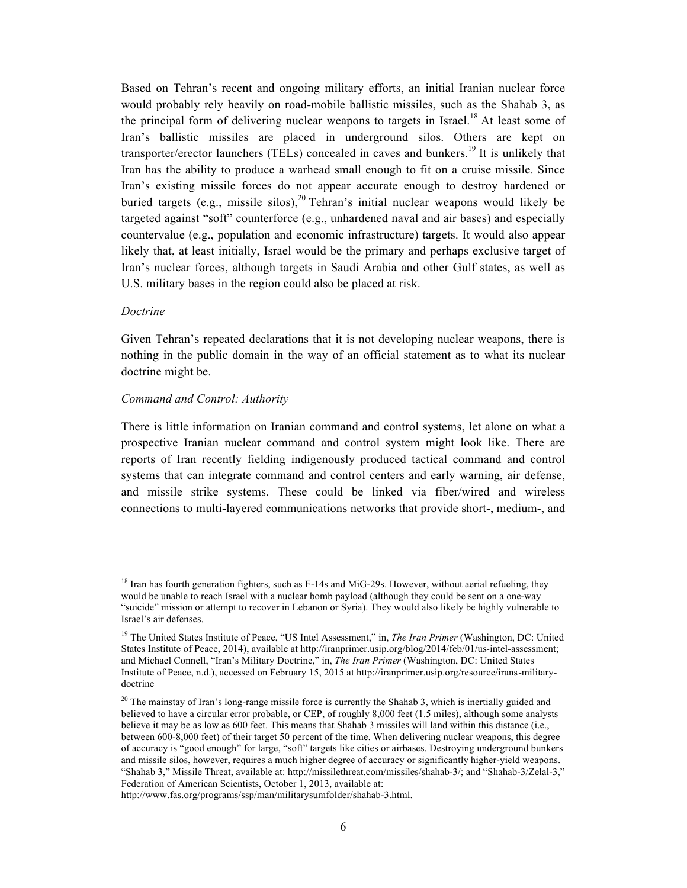Based on Tehran's recent and ongoing military efforts, an initial Iranian nuclear force would probably rely heavily on road-mobile ballistic missiles, such as the Shahab 3, as the principal form of delivering nuclear weapons to targets in Israel.<sup>18</sup> At least some of Iran's ballistic missiles are placed in underground silos. Others are kept on transporter/erector launchers (TELs) concealed in caves and bunkers.<sup>19</sup> It is unlikely that Iran has the ability to produce a warhead small enough to fit on a cruise missile. Since Iran's existing missile forces do not appear accurate enough to destroy hardened or buried targets (e.g., missile silos), $^{20}$  Tehran's initial nuclear weapons would likely be targeted against "soft" counterforce (e.g., unhardened naval and air bases) and especially countervalue (e.g., population and economic infrastructure) targets. It would also appear likely that, at least initially, Israel would be the primary and perhaps exclusive target of Iran's nuclear forces, although targets in Saudi Arabia and other Gulf states, as well as U.S. military bases in the region could also be placed at risk.

#### *Doctrine*

Given Tehran's repeated declarations that it is not developing nuclear weapons, there is nothing in the public domain in the way of an official statement as to what its nuclear doctrine might be.

#### *Command and Control: Authority*

There is little information on Iranian command and control systems, let alone on what a prospective Iranian nuclear command and control system might look like. There are reports of Iran recently fielding indigenously produced tactical command and control systems that can integrate command and control centers and early warning, air defense, and missile strike systems. These could be linked via fiber/wired and wireless connections to multi-layered communications networks that provide short-, medium-, and

 $18$  Iran has fourth generation fighters, such as F-14s and MiG-29s. However, without aerial refueling, they would be unable to reach Israel with a nuclear bomb payload (although they could be sent on a one-way "suicide" mission or attempt to recover in Lebanon or Syria). They would also likely be highly vulnerable to Israel's air defenses.

<sup>&</sup>lt;sup>19</sup> The United States Institute of Peace, "US Intel Assessment," in, *The Iran Primer* (Washington, DC: United States Institute of Peace, 2014), available at http://iranprimer.usip.org/blog/2014/feb/01/us-intel-assessment; and Michael Connell, "Iran's Military Doctrine," in, *The Iran Primer* (Washington, DC: United States Institute of Peace, n.d.), accessed on February 15, 2015 at http://iranprimer.usip.org/resource/irans-militarydoctrine

<sup>&</sup>lt;sup>20</sup> The mainstay of Iran's long-range missile force is currently the Shahab 3, which is inertially guided and believed to have a circular error probable, or CEP, of roughly 8,000 feet (1.5 miles), although some analysts believe it may be as low as 600 feet. This means that Shahab 3 missiles will land within this distance (i.e., between 600-8,000 feet) of their target 50 percent of the time. When delivering nuclear weapons, this degree of accuracy is "good enough" for large, "soft" targets like cities or airbases. Destroying underground bunkers and missile silos, however, requires a much higher degree of accuracy or significantly higher-yield weapons. "Shahab 3," Missile Threat, available at: http://missilethreat.com/missiles/shahab-3/; and "Shahab-3/Zelal-3," Federation of American Scientists, October 1, 2013, available at:

http://www.fas.org/programs/ssp/man/militarysumfolder/shahab-3.html.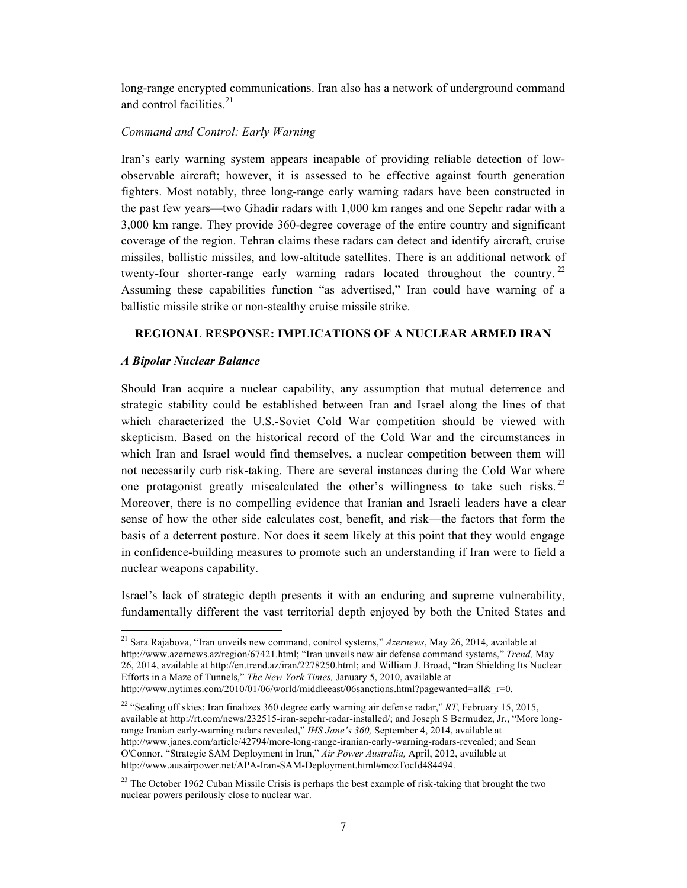long-range encrypted communications. Iran also has a network of underground command and control facilities $^{21}$ 

#### *Command and Control: Early Warning*

Iran's early warning system appears incapable of providing reliable detection of lowobservable aircraft; however, it is assessed to be effective against fourth generation fighters. Most notably, three long-range early warning radars have been constructed in the past few years—two Ghadir radars with 1,000 km ranges and one Sepehr radar with a 3,000 km range. They provide 360-degree coverage of the entire country and significant coverage of the region. Tehran claims these radars can detect and identify aircraft, cruise missiles, ballistic missiles, and low-altitude satellites. There is an additional network of twenty-four shorter-range early warning radars located throughout the country.  $22$ Assuming these capabilities function "as advertised," Iran could have warning of a ballistic missile strike or non-stealthy cruise missile strike.

#### **REGIONAL RESPONSE: IMPLICATIONS OF A NUCLEAR ARMED IRAN**

#### *A Bipolar Nuclear Balance*

Should Iran acquire a nuclear capability, any assumption that mutual deterrence and strategic stability could be established between Iran and Israel along the lines of that which characterized the U.S.-Soviet Cold War competition should be viewed with skepticism. Based on the historical record of the Cold War and the circumstances in which Iran and Israel would find themselves, a nuclear competition between them will not necessarily curb risk-taking. There are several instances during the Cold War where one protagonist greatly miscalculated the other's willingness to take such risks.  $2^3$ Moreover, there is no compelling evidence that Iranian and Israeli leaders have a clear sense of how the other side calculates cost, benefit, and risk—the factors that form the basis of a deterrent posture. Nor does it seem likely at this point that they would engage in confidence-building measures to promote such an understanding if Iran were to field a nuclear weapons capability.

Israel's lack of strategic depth presents it with an enduring and supreme vulnerability, fundamentally different the vast territorial depth enjoyed by both the United States and

 <sup>21</sup> Sara Rajabova, "Iran unveils new command, control systems," *Azernews*, May 26, 2014, available at http://www.azernews.az/region/67421.html; "Iran unveils new air defense command systems," *Trend,* May 26, 2014, available at http://en.trend.az/iran/2278250.html; and William J. Broad, "Iran Shielding Its Nuclear Efforts in a Maze of Tunnels," *The New York Times,* January 5, 2010, available at http://www.nytimes.com/2010/01/06/world/middleeast/06sanctions.html?pagewanted=all&r=0.

<sup>&</sup>lt;sup>22</sup> "Sealing off skies: Iran finalizes 360 degree early warning air defense radar," *RT*, February 15, 2015, available at http://rt.com/news/232515-iran-sepehr-radar-installed/; and Joseph S Bermudez, Jr., "More longrange Iranian early-warning radars revealed," *IHS Jane's 360,* September 4, 2014, available at http://www.janes.com/article/42794/more-long-range-iranian-early-warning-radars-revealed; and Sean O'Connor, "Strategic SAM Deployment in Iran," *Air Power Australia,* April, 2012, available at http://www.ausairpower.net/APA-Iran-SAM-Deployment.html#mozTocId484494.

<sup>&</sup>lt;sup>23</sup> The October 1962 Cuban Missile Crisis is perhaps the best example of risk-taking that brought the two nuclear powers perilously close to nuclear war.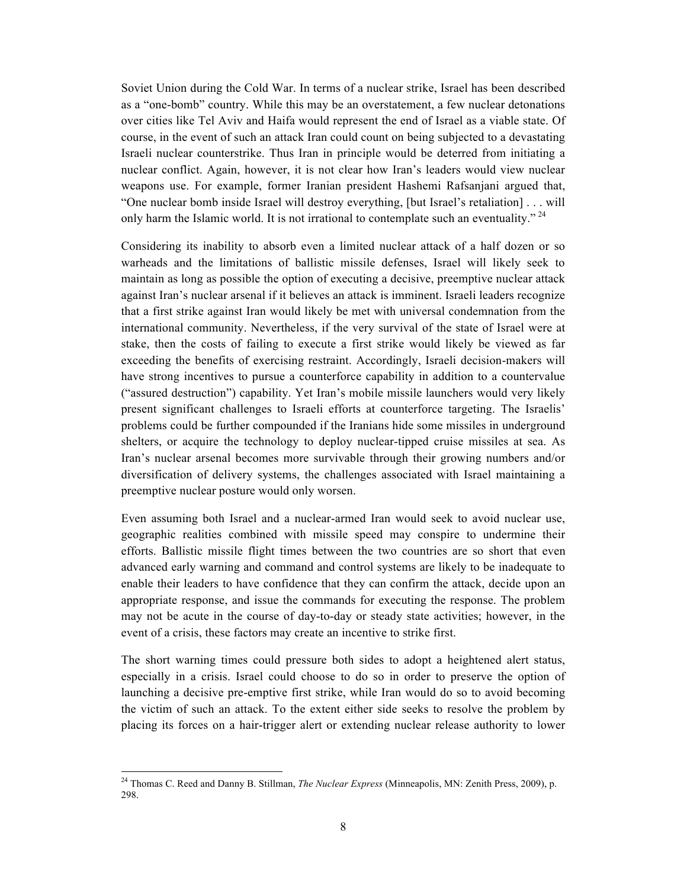Soviet Union during the Cold War. In terms of a nuclear strike, Israel has been described as a "one-bomb" country. While this may be an overstatement, a few nuclear detonations over cities like Tel Aviv and Haifa would represent the end of Israel as a viable state. Of course, in the event of such an attack Iran could count on being subjected to a devastating Israeli nuclear counterstrike. Thus Iran in principle would be deterred from initiating a nuclear conflict. Again, however, it is not clear how Iran's leaders would view nuclear weapons use. For example, former Iranian president Hashemi Rafsanjani argued that, "One nuclear bomb inside Israel will destroy everything, [but Israel's retaliation] . . . will only harm the Islamic world. It is not irrational to contemplate such an eventuality."<sup>24</sup>

Considering its inability to absorb even a limited nuclear attack of a half dozen or so warheads and the limitations of ballistic missile defenses, Israel will likely seek to maintain as long as possible the option of executing a decisive, preemptive nuclear attack against Iran's nuclear arsenal if it believes an attack is imminent. Israeli leaders recognize that a first strike against Iran would likely be met with universal condemnation from the international community. Nevertheless, if the very survival of the state of Israel were at stake, then the costs of failing to execute a first strike would likely be viewed as far exceeding the benefits of exercising restraint. Accordingly, Israeli decision-makers will have strong incentives to pursue a counterforce capability in addition to a countervalue ("assured destruction") capability. Yet Iran's mobile missile launchers would very likely present significant challenges to Israeli efforts at counterforce targeting. The Israelis' problems could be further compounded if the Iranians hide some missiles in underground shelters, or acquire the technology to deploy nuclear-tipped cruise missiles at sea. As Iran's nuclear arsenal becomes more survivable through their growing numbers and/or diversification of delivery systems, the challenges associated with Israel maintaining a preemptive nuclear posture would only worsen.

Even assuming both Israel and a nuclear-armed Iran would seek to avoid nuclear use, geographic realities combined with missile speed may conspire to undermine their efforts. Ballistic missile flight times between the two countries are so short that even advanced early warning and command and control systems are likely to be inadequate to enable their leaders to have confidence that they can confirm the attack, decide upon an appropriate response, and issue the commands for executing the response. The problem may not be acute in the course of day-to-day or steady state activities; however, in the event of a crisis, these factors may create an incentive to strike first.

The short warning times could pressure both sides to adopt a heightened alert status, especially in a crisis. Israel could choose to do so in order to preserve the option of launching a decisive pre-emptive first strike, while Iran would do so to avoid becoming the victim of such an attack. To the extent either side seeks to resolve the problem by placing its forces on a hair-trigger alert or extending nuclear release authority to lower

 <sup>24</sup> Thomas C. Reed and Danny B. Stillman, *The Nuclear Express* (Minneapolis, MN: Zenith Press, 2009), p. 298.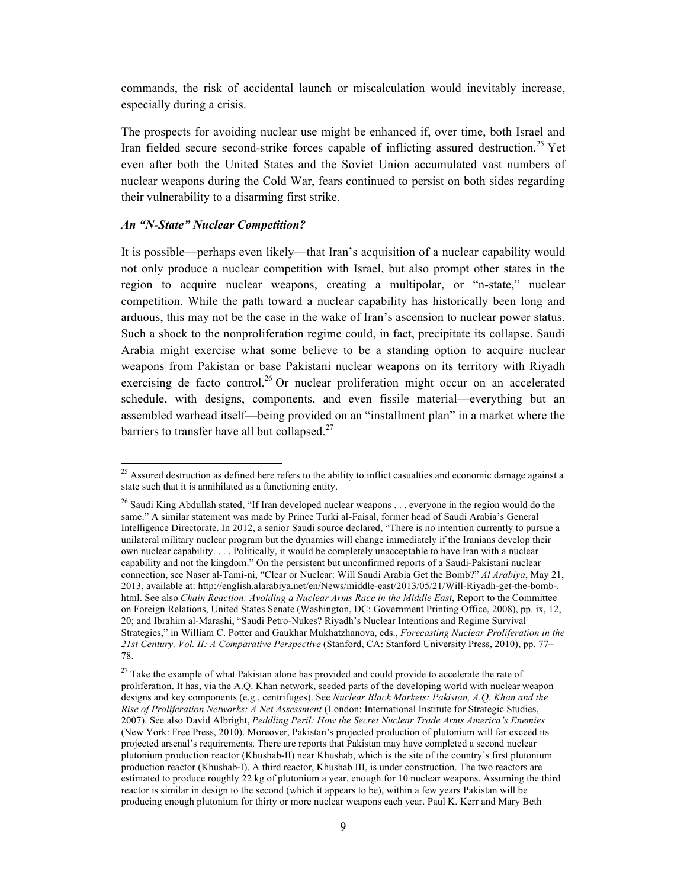commands, the risk of accidental launch or miscalculation would inevitably increase, especially during a crisis.

The prospects for avoiding nuclear use might be enhanced if, over time, both Israel and Iran fielded secure second-strike forces capable of inflicting assured destruction.<sup>25</sup> Yet even after both the United States and the Soviet Union accumulated vast numbers of nuclear weapons during the Cold War, fears continued to persist on both sides regarding their vulnerability to a disarming first strike.

#### *An "N-State" Nuclear Competition?*

It is possible—perhaps even likely—that Iran's acquisition of a nuclear capability would not only produce a nuclear competition with Israel, but also prompt other states in the region to acquire nuclear weapons, creating a multipolar, or "n-state," nuclear competition. While the path toward a nuclear capability has historically been long and arduous, this may not be the case in the wake of Iran's ascension to nuclear power status. Such a shock to the nonproliferation regime could, in fact, precipitate its collapse. Saudi Arabia might exercise what some believe to be a standing option to acquire nuclear weapons from Pakistan or base Pakistani nuclear weapons on its territory with Riyadh exercising de facto control.<sup>26</sup> Or nuclear proliferation might occur on an accelerated schedule, with designs, components, and even fissile material—everything but an assembled warhead itself—being provided on an "installment plan" in a market where the barriers to transfer have all but collapsed.<sup>27</sup>

<sup>&</sup>lt;sup>25</sup> Assured destruction as defined here refers to the ability to inflict casualties and economic damage against a state such that it is annihilated as a functioning entity.

<sup>&</sup>lt;sup>26</sup> Saudi King Abdullah stated, "If Iran developed nuclear weapons . . . everyone in the region would do the same." A similar statement was made by Prince Turki al-Faisal, former head of Saudi Arabia's General Intelligence Directorate. In 2012, a senior Saudi source declared, "There is no intention currently to pursue a unilateral military nuclear program but the dynamics will change immediately if the Iranians develop their own nuclear capability. . . . Politically, it would be completely unacceptable to have Iran with a nuclear capability and not the kingdom." On the persistent but unconfirmed reports of a Saudi-Pakistani nuclear connection, see Naser al-Tami-ni, "Clear or Nuclear: Will Saudi Arabia Get the Bomb?" *Al Arabiya*, May 21, 2013, available at: http://english.alarabiya.net/en/News/middle-east/2013/05/21/Will-Riyadh-get-the-bomb-. html. See also *Chain Reaction: Avoiding a Nuclear Arms Race in the Middle East*, Report to the Committee on Foreign Relations, United States Senate (Washington, DC: Government Printing Office, 2008), pp. ix, 12, 20; and Ibrahim al-Marashi, "Saudi Petro-Nukes? Riyadh's Nuclear Intentions and Regime Survival Strategies," in William C. Potter and Gaukhar Mukhatzhanova, eds., *Forecasting Nuclear Proliferation in the 21st Century, Vol. II: A Comparative Perspective* (Stanford, CA: Stanford University Press, 2010), pp. 77– 78.

 $27$  Take the example of what Pakistan alone has provided and could provide to accelerate the rate of proliferation. It has, via the A.Q. Khan network, seeded parts of the developing world with nuclear weapon designs and key components (e.g., centrifuges). See *Nuclear Black Markets: Pakistan, A.Q. Khan and the Rise of Proliferation Networks: A Net Assessment* (London: International Institute for Strategic Studies, 2007). See also David Albright, *Peddling Peril: How the Secret Nuclear Trade Arms America's Enemies*  (New York: Free Press, 2010). Moreover, Pakistan's projected production of plutonium will far exceed its projected arsenal's requirements. There are reports that Pakistan may have completed a second nuclear plutonium production reactor (Khushab-II) near Khushab, which is the site of the country's first plutonium production reactor (Khushab-I). A third reactor, Khushab III, is under construction. The two reactors are estimated to produce roughly 22 kg of plutonium a year, enough for 10 nuclear weapons. Assuming the third reactor is similar in design to the second (which it appears to be), within a few years Pakistan will be producing enough plutonium for thirty or more nuclear weapons each year. Paul K. Kerr and Mary Beth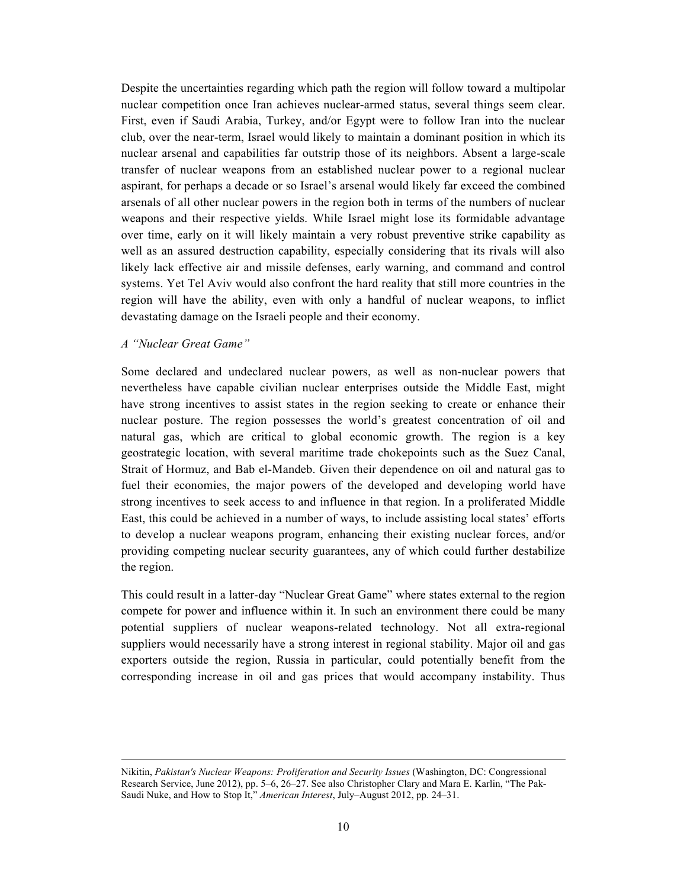Despite the uncertainties regarding which path the region will follow toward a multipolar nuclear competition once Iran achieves nuclear-armed status, several things seem clear. First, even if Saudi Arabia, Turkey, and/or Egypt were to follow Iran into the nuclear club, over the near-term, Israel would likely to maintain a dominant position in which its nuclear arsenal and capabilities far outstrip those of its neighbors. Absent a large-scale transfer of nuclear weapons from an established nuclear power to a regional nuclear aspirant, for perhaps a decade or so Israel's arsenal would likely far exceed the combined arsenals of all other nuclear powers in the region both in terms of the numbers of nuclear weapons and their respective yields. While Israel might lose its formidable advantage over time, early on it will likely maintain a very robust preventive strike capability as well as an assured destruction capability, especially considering that its rivals will also likely lack effective air and missile defenses, early warning, and command and control systems. Yet Tel Aviv would also confront the hard reality that still more countries in the region will have the ability, even with only a handful of nuclear weapons, to inflict devastating damage on the Israeli people and their economy.

#### *A "Nuclear Great Game"*

-

Some declared and undeclared nuclear powers, as well as non-nuclear powers that nevertheless have capable civilian nuclear enterprises outside the Middle East, might have strong incentives to assist states in the region seeking to create or enhance their nuclear posture. The region possesses the world's greatest concentration of oil and natural gas, which are critical to global economic growth. The region is a key geostrategic location, with several maritime trade chokepoints such as the Suez Canal, Strait of Hormuz, and Bab el-Mandeb. Given their dependence on oil and natural gas to fuel their economies, the major powers of the developed and developing world have strong incentives to seek access to and influence in that region. In a proliferated Middle East, this could be achieved in a number of ways, to include assisting local states' efforts to develop a nuclear weapons program, enhancing their existing nuclear forces, and/or providing competing nuclear security guarantees, any of which could further destabilize the region.

This could result in a latter-day "Nuclear Great Game" where states external to the region compete for power and influence within it. In such an environment there could be many potential suppliers of nuclear weapons-related technology. Not all extra-regional suppliers would necessarily have a strong interest in regional stability. Major oil and gas exporters outside the region, Russia in particular, could potentially benefit from the corresponding increase in oil and gas prices that would accompany instability. Thus

Nikitin, *Pakistan's Nuclear Weapons: Proliferation and Security Issues* (Washington, DC: Congressional Research Service, June 2012), pp. 5–6, 26–27. See also Christopher Clary and Mara E. Karlin, "The Pak-Saudi Nuke, and How to Stop It," *American Interest*, July–August 2012, pp. 24–31.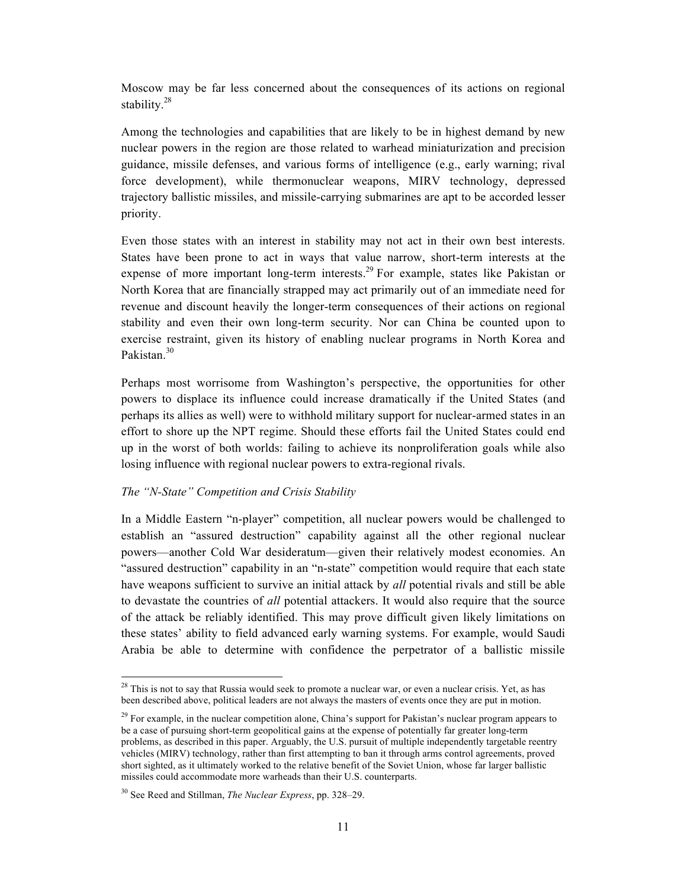Moscow may be far less concerned about the consequences of its actions on regional stability.<sup>28</sup>

Among the technologies and capabilities that are likely to be in highest demand by new nuclear powers in the region are those related to warhead miniaturization and precision guidance, missile defenses, and various forms of intelligence (e.g., early warning; rival force development), while thermonuclear weapons, MIRV technology, depressed trajectory ballistic missiles, and missile-carrying submarines are apt to be accorded lesser priority.

Even those states with an interest in stability may not act in their own best interests. States have been prone to act in ways that value narrow, short-term interests at the expense of more important long-term interests.<sup>29</sup> For example, states like Pakistan or North Korea that are financially strapped may act primarily out of an immediate need for revenue and discount heavily the longer-term consequences of their actions on regional stability and even their own long-term security. Nor can China be counted upon to exercise restraint, given its history of enabling nuclear programs in North Korea and Pakistan.<sup>30</sup>

Perhaps most worrisome from Washington's perspective, the opportunities for other powers to displace its influence could increase dramatically if the United States (and perhaps its allies as well) were to withhold military support for nuclear-armed states in an effort to shore up the NPT regime. Should these efforts fail the United States could end up in the worst of both worlds: failing to achieve its nonproliferation goals while also losing influence with regional nuclear powers to extra-regional rivals.

#### *The "N-State" Competition and Crisis Stability*

In a Middle Eastern "n-player" competition, all nuclear powers would be challenged to establish an "assured destruction" capability against all the other regional nuclear powers—another Cold War desideratum—given their relatively modest economies. An "assured destruction" capability in an "n-state" competition would require that each state have weapons sufficient to survive an initial attack by *all* potential rivals and still be able to devastate the countries of *all* potential attackers. It would also require that the source of the attack be reliably identified. This may prove difficult given likely limitations on these states' ability to field advanced early warning systems. For example, would Saudi Arabia be able to determine with confidence the perpetrator of a ballistic missile

<sup>&</sup>lt;sup>28</sup> This is not to say that Russia would seek to promote a nuclear war, or even a nuclear crisis. Yet, as has been described above, political leaders are not always the masters of events once they are put in motion.

<sup>&</sup>lt;sup>29</sup> For example, in the nuclear competition alone, China's support for Pakistan's nuclear program appears to be a case of pursuing short-term geopolitical gains at the expense of potentially far greater long-term problems, as described in this paper. Arguably, the U.S. pursuit of multiple independently targetable reentry vehicles (MIRV) technology, rather than first attempting to ban it through arms control agreements, proved short sighted, as it ultimately worked to the relative benefit of the Soviet Union, whose far larger ballistic missiles could accommodate more warheads than their U.S. counterparts.

<sup>30</sup> See Reed and Stillman, *The Nuclear Express*, pp. 328–29.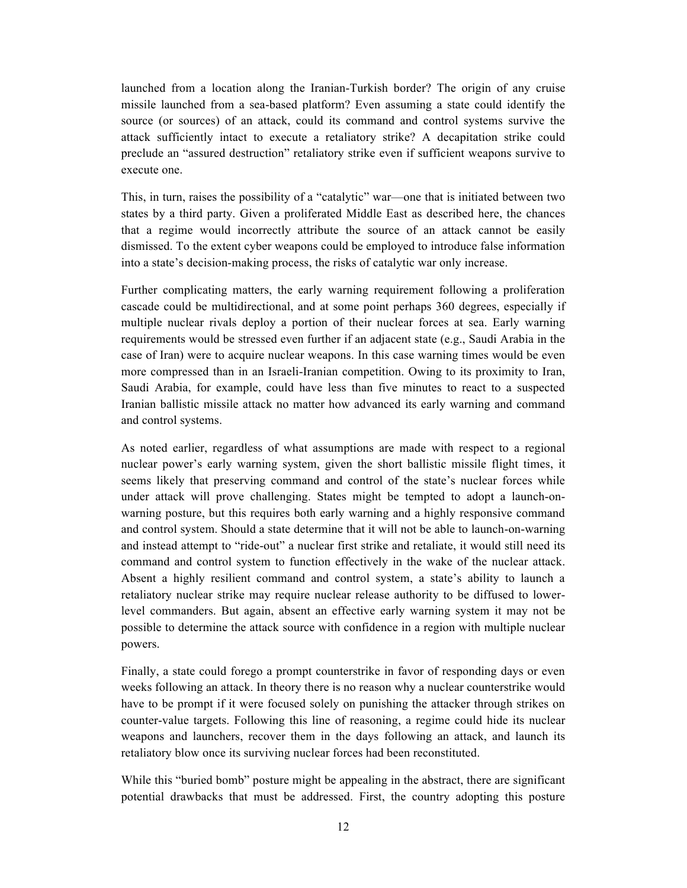launched from a location along the Iranian-Turkish border? The origin of any cruise missile launched from a sea-based platform? Even assuming a state could identify the source (or sources) of an attack, could its command and control systems survive the attack sufficiently intact to execute a retaliatory strike? A decapitation strike could preclude an "assured destruction" retaliatory strike even if sufficient weapons survive to execute one.

This, in turn, raises the possibility of a "catalytic" war—one that is initiated between two states by a third party. Given a proliferated Middle East as described here, the chances that a regime would incorrectly attribute the source of an attack cannot be easily dismissed. To the extent cyber weapons could be employed to introduce false information into a state's decision-making process, the risks of catalytic war only increase.

Further complicating matters, the early warning requirement following a proliferation cascade could be multidirectional, and at some point perhaps 360 degrees, especially if multiple nuclear rivals deploy a portion of their nuclear forces at sea. Early warning requirements would be stressed even further if an adjacent state (e.g., Saudi Arabia in the case of Iran) were to acquire nuclear weapons. In this case warning times would be even more compressed than in an Israeli-Iranian competition. Owing to its proximity to Iran, Saudi Arabia, for example, could have less than five minutes to react to a suspected Iranian ballistic missile attack no matter how advanced its early warning and command and control systems.

As noted earlier, regardless of what assumptions are made with respect to a regional nuclear power's early warning system, given the short ballistic missile flight times, it seems likely that preserving command and control of the state's nuclear forces while under attack will prove challenging. States might be tempted to adopt a launch-onwarning posture, but this requires both early warning and a highly responsive command and control system. Should a state determine that it will not be able to launch-on-warning and instead attempt to "ride-out" a nuclear first strike and retaliate, it would still need its command and control system to function effectively in the wake of the nuclear attack. Absent a highly resilient command and control system, a state's ability to launch a retaliatory nuclear strike may require nuclear release authority to be diffused to lowerlevel commanders. But again, absent an effective early warning system it may not be possible to determine the attack source with confidence in a region with multiple nuclear powers.

Finally, a state could forego a prompt counterstrike in favor of responding days or even weeks following an attack. In theory there is no reason why a nuclear counterstrike would have to be prompt if it were focused solely on punishing the attacker through strikes on counter-value targets. Following this line of reasoning, a regime could hide its nuclear weapons and launchers, recover them in the days following an attack, and launch its retaliatory blow once its surviving nuclear forces had been reconstituted.

While this "buried bomb" posture might be appealing in the abstract, there are significant potential drawbacks that must be addressed. First, the country adopting this posture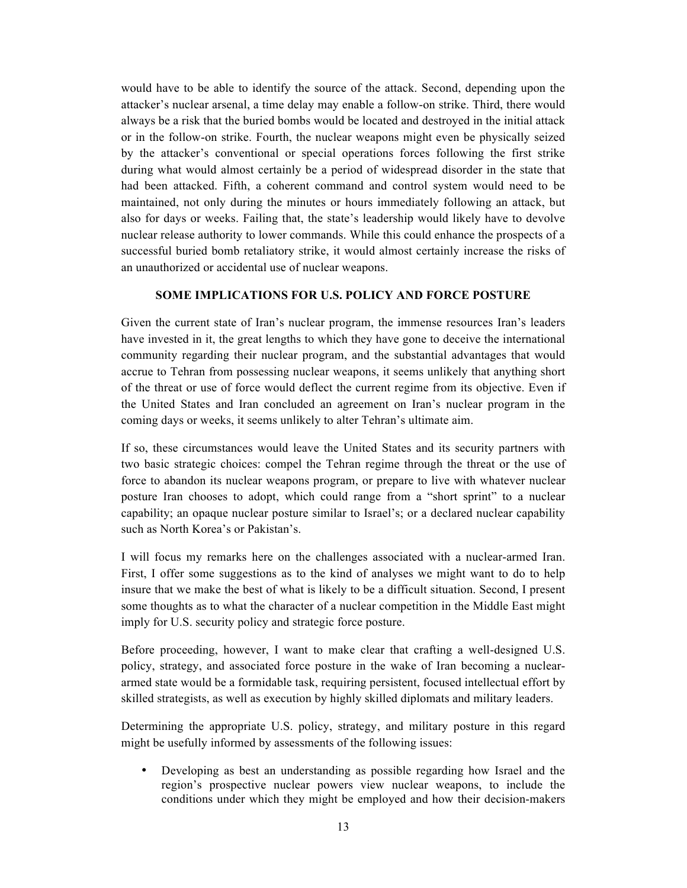would have to be able to identify the source of the attack. Second, depending upon the attacker's nuclear arsenal, a time delay may enable a follow-on strike. Third, there would always be a risk that the buried bombs would be located and destroyed in the initial attack or in the follow-on strike. Fourth, the nuclear weapons might even be physically seized by the attacker's conventional or special operations forces following the first strike during what would almost certainly be a period of widespread disorder in the state that had been attacked. Fifth, a coherent command and control system would need to be maintained, not only during the minutes or hours immediately following an attack, but also for days or weeks. Failing that, the state's leadership would likely have to devolve nuclear release authority to lower commands. While this could enhance the prospects of a successful buried bomb retaliatory strike, it would almost certainly increase the risks of an unauthorized or accidental use of nuclear weapons.

#### **SOME IMPLICATIONS FOR U.S. POLICY AND FORCE POSTURE**

Given the current state of Iran's nuclear program, the immense resources Iran's leaders have invested in it, the great lengths to which they have gone to deceive the international community regarding their nuclear program, and the substantial advantages that would accrue to Tehran from possessing nuclear weapons, it seems unlikely that anything short of the threat or use of force would deflect the current regime from its objective. Even if the United States and Iran concluded an agreement on Iran's nuclear program in the coming days or weeks, it seems unlikely to alter Tehran's ultimate aim.

If so, these circumstances would leave the United States and its security partners with two basic strategic choices: compel the Tehran regime through the threat or the use of force to abandon its nuclear weapons program, or prepare to live with whatever nuclear posture Iran chooses to adopt, which could range from a "short sprint" to a nuclear capability; an opaque nuclear posture similar to Israel's; or a declared nuclear capability such as North Korea's or Pakistan's.

I will focus my remarks here on the challenges associated with a nuclear-armed Iran. First, I offer some suggestions as to the kind of analyses we might want to do to help insure that we make the best of what is likely to be a difficult situation. Second, I present some thoughts as to what the character of a nuclear competition in the Middle East might imply for U.S. security policy and strategic force posture.

Before proceeding, however, I want to make clear that crafting a well-designed U.S. policy, strategy, and associated force posture in the wake of Iran becoming a nucleararmed state would be a formidable task, requiring persistent, focused intellectual effort by skilled strategists, as well as execution by highly skilled diplomats and military leaders.

Determining the appropriate U.S. policy, strategy, and military posture in this regard might be usefully informed by assessments of the following issues:

 Developing as best an understanding as possible regarding how Israel and the region's prospective nuclear powers view nuclear weapons, to include the conditions under which they might be employed and how their decision-makers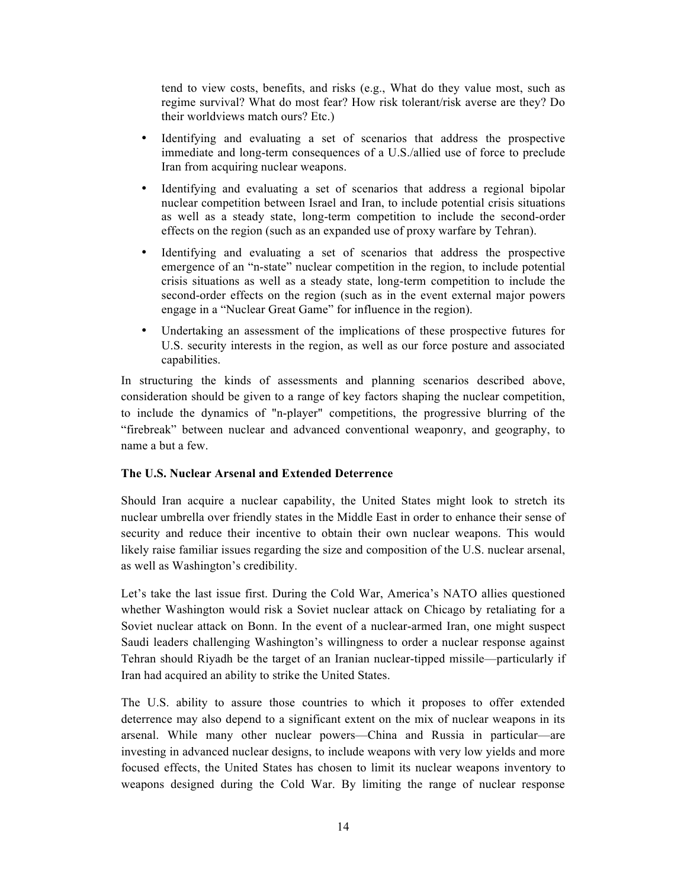tend to view costs, benefits, and risks (e.g., What do they value most, such as regime survival? What do most fear? How risk tolerant/risk averse are they? Do their worldviews match ours? Etc.)

- Identifying and evaluating a set of scenarios that address the prospective immediate and long-term consequences of a U.S./allied use of force to preclude Iran from acquiring nuclear weapons.
- Identifying and evaluating a set of scenarios that address a regional bipolar nuclear competition between Israel and Iran, to include potential crisis situations as well as a steady state, long-term competition to include the second-order effects on the region (such as an expanded use of proxy warfare by Tehran).
- Identifying and evaluating a set of scenarios that address the prospective emergence of an "n-state" nuclear competition in the region, to include potential crisis situations as well as a steady state, long-term competition to include the second-order effects on the region (such as in the event external major powers engage in a "Nuclear Great Game" for influence in the region).
- Undertaking an assessment of the implications of these prospective futures for U.S. security interests in the region, as well as our force posture and associated capabilities.

In structuring the kinds of assessments and planning scenarios described above, consideration should be given to a range of key factors shaping the nuclear competition, to include the dynamics of "n-player" competitions, the progressive blurring of the "firebreak" between nuclear and advanced conventional weaponry, and geography, to name a but a few.

#### **The U.S. Nuclear Arsenal and Extended Deterrence**

Should Iran acquire a nuclear capability, the United States might look to stretch its nuclear umbrella over friendly states in the Middle East in order to enhance their sense of security and reduce their incentive to obtain their own nuclear weapons. This would likely raise familiar issues regarding the size and composition of the U.S. nuclear arsenal, as well as Washington's credibility.

Let's take the last issue first. During the Cold War, America's NATO allies questioned whether Washington would risk a Soviet nuclear attack on Chicago by retaliating for a Soviet nuclear attack on Bonn. In the event of a nuclear-armed Iran, one might suspect Saudi leaders challenging Washington's willingness to order a nuclear response against Tehran should Riyadh be the target of an Iranian nuclear-tipped missile—particularly if Iran had acquired an ability to strike the United States.

The U.S. ability to assure those countries to which it proposes to offer extended deterrence may also depend to a significant extent on the mix of nuclear weapons in its arsenal. While many other nuclear powers—China and Russia in particular—are investing in advanced nuclear designs, to include weapons with very low yields and more focused effects, the United States has chosen to limit its nuclear weapons inventory to weapons designed during the Cold War. By limiting the range of nuclear response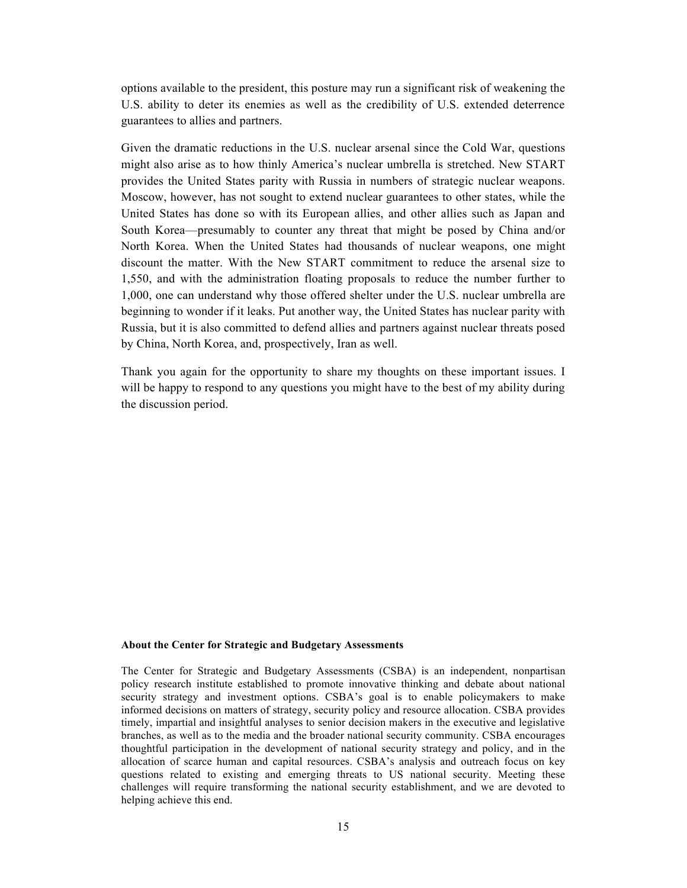options available to the president, this posture may run a significant risk of weakening the U.S. ability to deter its enemies as well as the credibility of U.S. extended deterrence guarantees to allies and partners.

Given the dramatic reductions in the U.S. nuclear arsenal since the Cold War, questions might also arise as to how thinly America's nuclear umbrella is stretched. New START provides the United States parity with Russia in numbers of strategic nuclear weapons. Moscow, however, has not sought to extend nuclear guarantees to other states, while the United States has done so with its European allies, and other allies such as Japan and South Korea—presumably to counter any threat that might be posed by China and/or North Korea. When the United States had thousands of nuclear weapons, one might discount the matter. With the New START commitment to reduce the arsenal size to 1,550, and with the administration floating proposals to reduce the number further to 1,000, one can understand why those offered shelter under the U.S. nuclear umbrella are beginning to wonder if it leaks. Put another way, the United States has nuclear parity with Russia, but it is also committed to defend allies and partners against nuclear threats posed by China, North Korea, and, prospectively, Iran as well.

Thank you again for the opportunity to share my thoughts on these important issues. I will be happy to respond to any questions you might have to the best of my ability during the discussion period.

#### **About the Center for Strategic and Budgetary Assessments**

The Center for Strategic and Budgetary Assessments (CSBA) is an independent, nonpartisan policy research institute established to promote innovative thinking and debate about national security strategy and investment options. CSBA's goal is to enable policymakers to make informed decisions on matters of strategy, security policy and resource allocation. CSBA provides timely, impartial and insightful analyses to senior decision makers in the executive and legislative branches, as well as to the media and the broader national security community. CSBA encourages thoughtful participation in the development of national security strategy and policy, and in the allocation of scarce human and capital resources. CSBA's analysis and outreach focus on key questions related to existing and emerging threats to US national security. Meeting these challenges will require transforming the national security establishment, and we are devoted to helping achieve this end.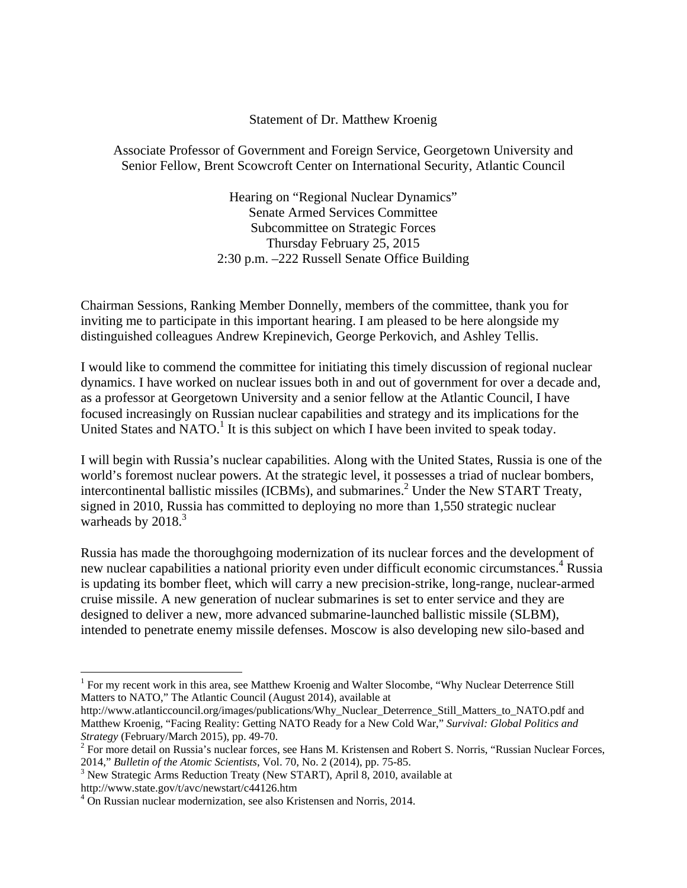#### Statement of Dr. Matthew Kroenig

<span id="page-16-0"></span>Associate Professor of Government and Foreign Service, Georgetown University and Senior Fellow, Brent Scowcroft Center on International Security, Atlantic Council

> Hearing on "Regional Nuclear Dynamics" Senate Armed Services Committee Subcommittee on Strategic Forces Thursday February 25, 2015 2:30 p.m. –222 Russell Senate Office Building

Chairman Sessions, Ranking Member Donnelly, members of the committee, thank you for inviting me to participate in this important hearing. I am pleased to be here alongside my distinguished colleagues Andrew Krepinevich, George Perkovich, and Ashley Tellis.

I would like to commend the committee for initiating this timely discussion of regional nuclear dynamics. I have worked on nuclear issues both in and out of government for over a decade and, as a professor at Georgetown University and a senior fellow at the Atlantic Council, I have focused increasingly on Russian nuclear capabilities and strategy and its implications for the United States and NATO.<sup>1</sup> It is this subject on which I have been invited to speak today.

I will begin with Russia's nuclear capabilities. Along with the United States, Russia is one of the world's foremost nuclear powers. At the strategic level, it possesses a triad of nuclear bombers, intercontinental ballistic missiles (ICBMs), and submarines.<sup>2</sup> Under the New START Treaty, signed in 2010, Russia has committed to deploying no more than 1,550 strategic nuclear warheads by  $2018.<sup>3</sup>$ 

Russia has made the thoroughgoing modernization of its nuclear forces and the development of new nuclear capabilities a national priority even under difficult economic circumstances.<sup>4</sup> Russia is updating its bomber fleet, which will carry a new precision-strike, long-range, nuclear-armed cruise missile. A new generation of nuclear submarines is set to enter service and they are designed to deliver a new, more advanced submarine-launched ballistic missile (SLBM), intended to penetrate enemy missile defenses. Moscow is also developing new silo-based and

<sup>&</sup>lt;sup>1</sup> For my recent work in this area, see Matthew Kroenig and Walter Slocombe, "Why Nuclear Deterrence Still Matters to NATO," The Atlantic Council (August 2014), available at

http://www.atlanticcouncil.org/images/publications/Why\_Nuclear\_Deterrence\_Still\_Matters\_to\_NATO.pdf and Matthew Kroenig, "Facing Reality: Getting NATO Ready for a New Cold War," *Survival: Global Politics and Strategy* (February/March 2015), pp. 49-70. 2

<sup>&</sup>lt;sup>2</sup> For more detail on Russia's nuclear forces, see Hans M. Kristensen and Robert S. Norris, "Russian Nuclear Forces, 2014," *Bulletin of the Atomic Scientists*, Vol. 70, No. 2 (2014), pp. 75-85. 3

<sup>&</sup>lt;sup>3</sup> New Strategic Arms Reduction Treaty (New START), April 8, 2010, available at

http://www.state.gov/t/avc/newstart/c44126.htm 4

<sup>&</sup>lt;sup>4</sup> On Russian nuclear modernization, see also Kristensen and Norris, 2014.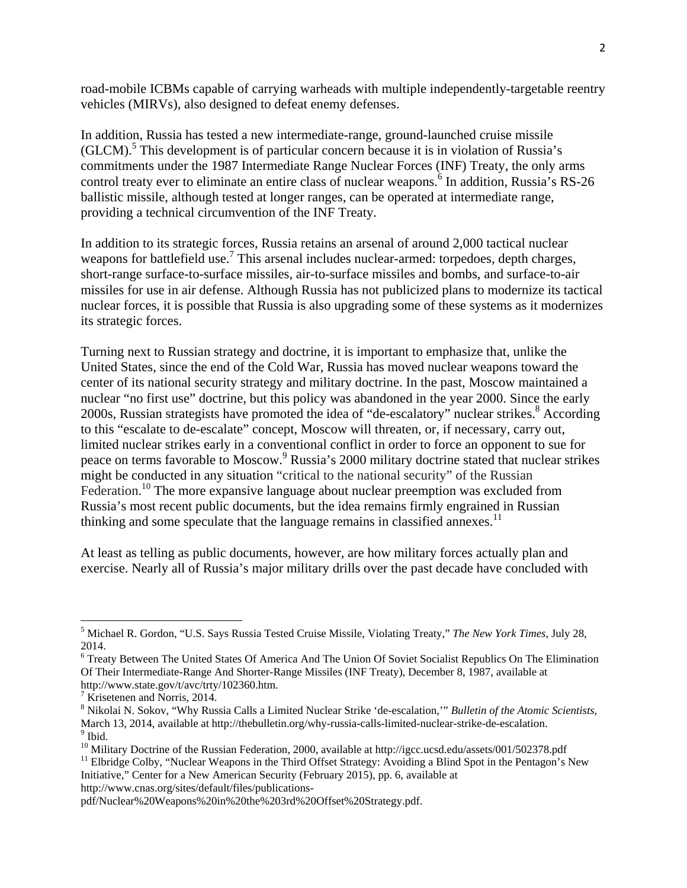road-mobile ICBMs capable of carrying warheads with multiple independently-targetable reentry vehicles (MIRVs), also designed to defeat enemy defenses.

In addition, Russia has tested a new intermediate-range, ground-launched cruise missile (GLCM).<sup>5</sup> This development is of particular concern because it is in violation of Russia's commitments under the 1987 Intermediate Range Nuclear Forces (INF) Treaty, the only arms control treaty ever to eliminate an entire class of nuclear weapons.<sup>6</sup> In addition, Russia's RS-26 ballistic missile, although tested at longer ranges, can be operated at intermediate range, providing a technical circumvention of the INF Treaty.

In addition to its strategic forces, Russia retains an arsenal of around 2,000 tactical nuclear weapons for battlefield use.<sup>7</sup> This arsenal includes nuclear-armed: torpedoes, depth charges, short-range surface-to-surface missiles, air-to-surface missiles and bombs, and surface-to-air missiles for use in air defense. Although Russia has not publicized plans to modernize its tactical nuclear forces, it is possible that Russia is also upgrading some of these systems as it modernizes its strategic forces.

Turning next to Russian strategy and doctrine, it is important to emphasize that, unlike the United States, since the end of the Cold War, Russia has moved nuclear weapons toward the center of its national security strategy and military doctrine. In the past, Moscow maintained a nuclear "no first use" doctrine, but this policy was abandoned in the year 2000. Since the early 2000s, Russian strategists have promoted the idea of "de-escalatory" nuclear strikes.<sup>8</sup> According to this "escalate to de-escalate" concept, Moscow will threaten, or, if necessary, carry out, limited nuclear strikes early in a conventional conflict in order to force an opponent to sue for peace on terms favorable to Moscow.<sup>9</sup> Russia's 2000 military doctrine stated that nuclear strikes might be conducted in any situation "critical to the national security" of the Russian Federation.<sup>10</sup> The more expansive language about nuclear preemption was excluded from Russia's most recent public documents, but the idea remains firmly engrained in Russian thinking and some speculate that the language remains in classified annexes.<sup>11</sup>

At least as telling as public documents, however, are how military forces actually plan and exercise. Nearly all of Russia's major military drills over the past decade have concluded with

http://www.cnas.org/sites/default/files/publications-

<sup>5</sup> Michael R. Gordon, "U.S. Says Russia Tested Cruise Missile, Violating Treaty," *The New York Times,* July 28, 2014.

<sup>&</sup>lt;sup>6</sup> Treaty Between The United States Of America And The Union Of Soviet Socialist Republics On The Elimination Of Their Intermediate-Range And Shorter-Range Missiles (INF Treaty), December 8, 1987, available at http://www.state.gov/t/avc/trty/102360.htm.

<sup>&</sup>lt;sup>7</sup> Krisetenen and Norris, 2014.

<sup>8</sup> Nikolai N. Sokov, "Why Russia Calls a Limited Nuclear Strike 'de-escalation,'" *Bulletin of the Atomic Scientists*, March 13, 2014, available at http://thebulletin.org/why-russia-calls-limited-nuclear-strike-de-escalation.  $<sup>9</sup>$  Ibid.</sup>

<sup>&</sup>lt;sup>10</sup> Military Doctrine of the Russian Federation, 2000, available at http://igcc.ucsd.edu/assets/001/502378.pdf  $^{11}$  Elbridge Colby, "Nuclear Weapons in the Third Offset Strategy: Avoiding a Blind Spot in the Pentagon's

Initiative," Center for a New American Security (February 2015), pp. 6, available at

pdf/Nuclear%20Weapons%20in%20the%203rd%20Offset%20Strategy.pdf.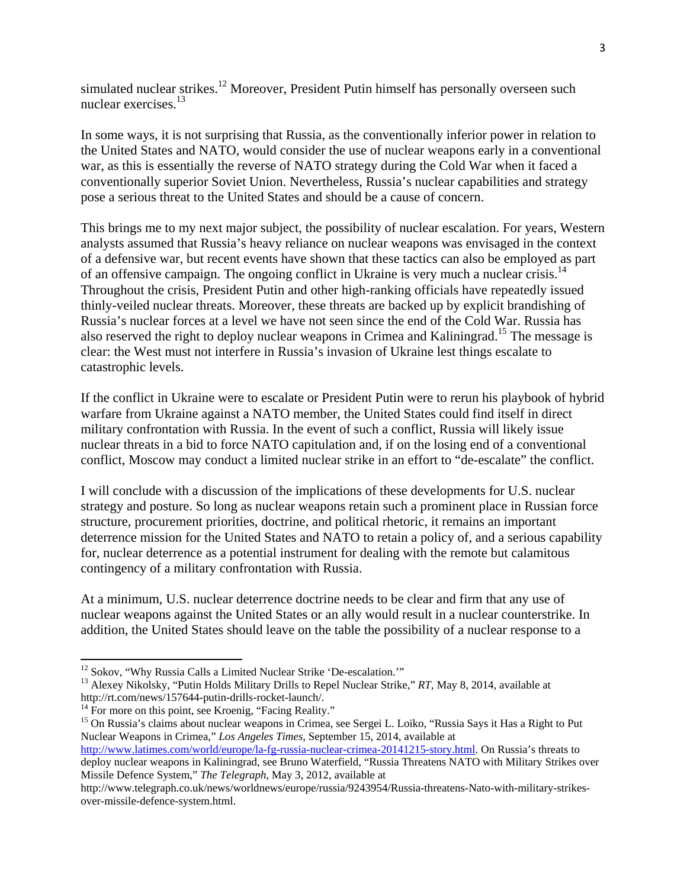simulated nuclear strikes.<sup>12</sup> Moreover, President Putin himself has personally overseen such nuclear exercises.13

In some ways, it is not surprising that Russia, as the conventionally inferior power in relation to the United States and NATO, would consider the use of nuclear weapons early in a conventional war, as this is essentially the reverse of NATO strategy during the Cold War when it faced a conventionally superior Soviet Union. Nevertheless, Russia's nuclear capabilities and strategy pose a serious threat to the United States and should be a cause of concern.

This brings me to my next major subject, the possibility of nuclear escalation. For years, Western analysts assumed that Russia's heavy reliance on nuclear weapons was envisaged in the context of a defensive war, but recent events have shown that these tactics can also be employed as part of an offensive campaign. The ongoing conflict in Ukraine is very much a nuclear crisis.<sup>14</sup> Throughout the crisis, President Putin and other high-ranking officials have repeatedly issued thinly-veiled nuclear threats. Moreover, these threats are backed up by explicit brandishing of Russia's nuclear forces at a level we have not seen since the end of the Cold War. Russia has also reserved the right to deploy nuclear weapons in Crimea and Kaliningrad.<sup>15</sup> The message is clear: the West must not interfere in Russia's invasion of Ukraine lest things escalate to catastrophic levels.

If the conflict in Ukraine were to escalate or President Putin were to rerun his playbook of hybrid warfare from Ukraine against a NATO member, the United States could find itself in direct military confrontation with Russia. In the event of such a conflict, Russia will likely issue nuclear threats in a bid to force NATO capitulation and, if on the losing end of a conventional conflict, Moscow may conduct a limited nuclear strike in an effort to "de-escalate" the conflict.

I will conclude with a discussion of the implications of these developments for U.S. nuclear strategy and posture. So long as nuclear weapons retain such a prominent place in Russian force structure, procurement priorities, doctrine, and political rhetoric, it remains an important deterrence mission for the United States and NATO to retain a policy of, and a serious capability for, nuclear deterrence as a potential instrument for dealing with the remote but calamitous contingency of a military confrontation with Russia.

At a minimum, U.S. nuclear deterrence doctrine needs to be clear and firm that any use of nuclear weapons against the United States or an ally would result in a nuclear counterstrike. In addition, the United States should leave on the table the possibility of a nuclear response to a

<sup>&</sup>lt;sup>12</sup> Sokov, "Why Russia Calls a Limited Nuclear Strike 'De-escalation.""

<sup>&</sup>lt;sup>13</sup> Alexey Nikolsky, "Putin Holds Military Drills to Repel Nuclear Strike," *RT*, May 8, 2014, available at http://rt.com/news/157644-putin-drills-rocket-launch/.

 $14$  For more on this point, see Kroenig, "Facing Reality."

<sup>&</sup>lt;sup>15</sup> On Russia's claims about nuclear weapons in Crimea, see Sergei L. Loiko, "Russia Says it Has a Right to Put Nuclear Weapons in Crimea," *Los Angeles Times*, September 15, 2014, available at

http://www.latimes.com/world/europe/la-fg-russia-nuclear-crimea-20141215-story.html. On Russia's threats to deploy nuclear weapons in Kaliningrad, see Bruno Waterfield, "Russia Threatens NATO with Military Strikes over Missile Defence System," *The Telegraph*, May 3, 2012, available at

http://www.telegraph.co.uk/news/worldnews/europe/russia/9243954/Russia-threatens-Nato-with-military-strikesover-missile-defence-system.html.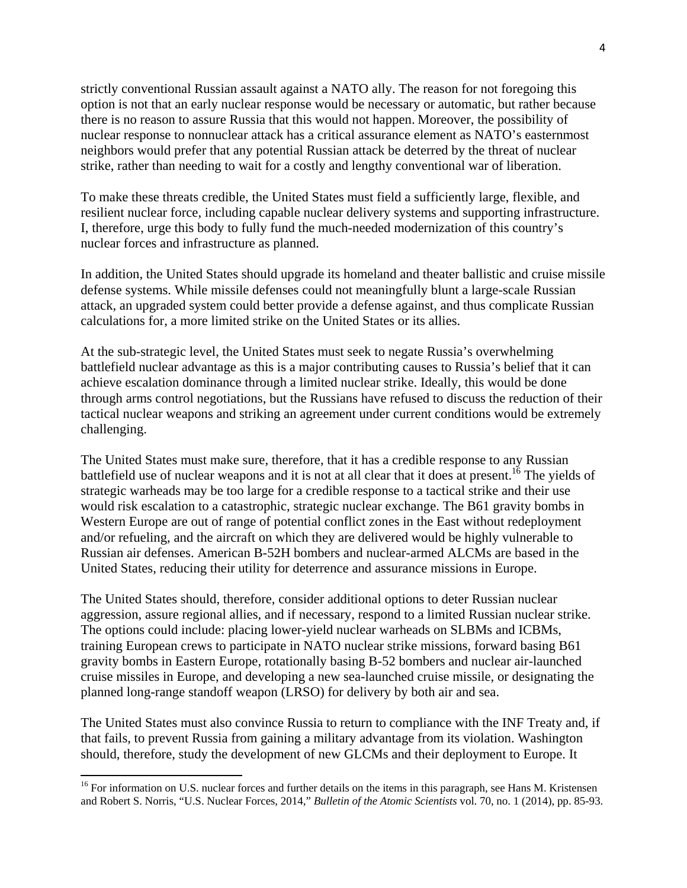strictly conventional Russian assault against a NATO ally. The reason for not foregoing this option is not that an early nuclear response would be necessary or automatic, but rather because there is no reason to assure Russia that this would not happen. Moreover, the possibility of nuclear response to nonnuclear attack has a critical assurance element as NATO's easternmost neighbors would prefer that any potential Russian attack be deterred by the threat of nuclear strike, rather than needing to wait for a costly and lengthy conventional war of liberation.

To make these threats credible, the United States must field a sufficiently large, flexible, and resilient nuclear force, including capable nuclear delivery systems and supporting infrastructure. I, therefore, urge this body to fully fund the much-needed modernization of this country's nuclear forces and infrastructure as planned.

In addition, the United States should upgrade its homeland and theater ballistic and cruise missile defense systems. While missile defenses could not meaningfully blunt a large-scale Russian attack, an upgraded system could better provide a defense against, and thus complicate Russian calculations for, a more limited strike on the United States or its allies.

At the sub-strategic level, the United States must seek to negate Russia's overwhelming battlefield nuclear advantage as this is a major contributing causes to Russia's belief that it can achieve escalation dominance through a limited nuclear strike. Ideally, this would be done through arms control negotiations, but the Russians have refused to discuss the reduction of their tactical nuclear weapons and striking an agreement under current conditions would be extremely challenging.

The United States must make sure, therefore, that it has a credible response to any Russian battlefield use of nuclear weapons and it is not at all clear that it does at present.<sup>16</sup> The yields of strategic warheads may be too large for a credible response to a tactical strike and their use would risk escalation to a catastrophic, strategic nuclear exchange. The B61 gravity bombs in Western Europe are out of range of potential conflict zones in the East without redeployment and/or refueling, and the aircraft on which they are delivered would be highly vulnerable to Russian air defenses. American B-52H bombers and nuclear-armed ALCMs are based in the United States, reducing their utility for deterrence and assurance missions in Europe.

The United States should, therefore, consider additional options to deter Russian nuclear aggression, assure regional allies, and if necessary, respond to a limited Russian nuclear strike. The options could include: placing lower-yield nuclear warheads on SLBMs and ICBMs, training European crews to participate in NATO nuclear strike missions, forward basing B61 gravity bombs in Eastern Europe, rotationally basing B-52 bombers and nuclear air-launched cruise missiles in Europe, and developing a new sea-launched cruise missile, or designating the planned long-range standoff weapon (LRSO) for delivery by both air and sea.

The United States must also convince Russia to return to compliance with the INF Treaty and, if that fails, to prevent Russia from gaining a military advantage from its violation. Washington should, therefore, study the development of new GLCMs and their deployment to Europe. It

<sup>&</sup>lt;sup>16</sup> For information on U.S. nuclear forces and further details on the items in this paragraph, see Hans M. Kristensen and Robert S. Norris, "U.S. Nuclear Forces, 2014," *Bulletin of the Atomic Scientists* vol. 70, no. 1 (2014), pp. 85-93.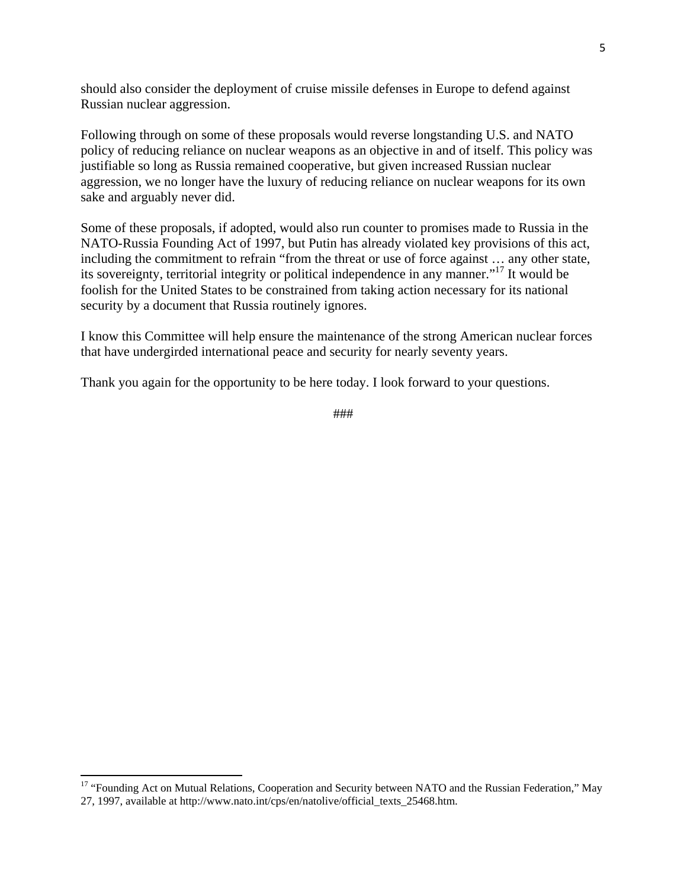should also consider the deployment of cruise missile defenses in Europe to defend against Russian nuclear aggression.

Following through on some of these proposals would reverse longstanding U.S. and NATO policy of reducing reliance on nuclear weapons as an objective in and of itself. This policy was justifiable so long as Russia remained cooperative, but given increased Russian nuclear aggression, we no longer have the luxury of reducing reliance on nuclear weapons for its own sake and arguably never did.

Some of these proposals, if adopted, would also run counter to promises made to Russia in the NATO-Russia Founding Act of 1997, but Putin has already violated key provisions of this act, including the commitment to refrain "from the threat or use of force against … any other state, its sovereignty, territorial integrity or political independence in any manner."17 It would be foolish for the United States to be constrained from taking action necessary for its national security by a document that Russia routinely ignores.

I know this Committee will help ensure the maintenance of the strong American nuclear forces that have undergirded international peace and security for nearly seventy years.

Thank you again for the opportunity to be here today. I look forward to your questions.

<sup>&</sup>lt;sup>17</sup> "Founding Act on Mutual Relations, Cooperation and Security between NATO and the Russian Federation," May 27, 1997, available at http://www.nato.int/cps/en/natolive/official\_texts\_25468.htm.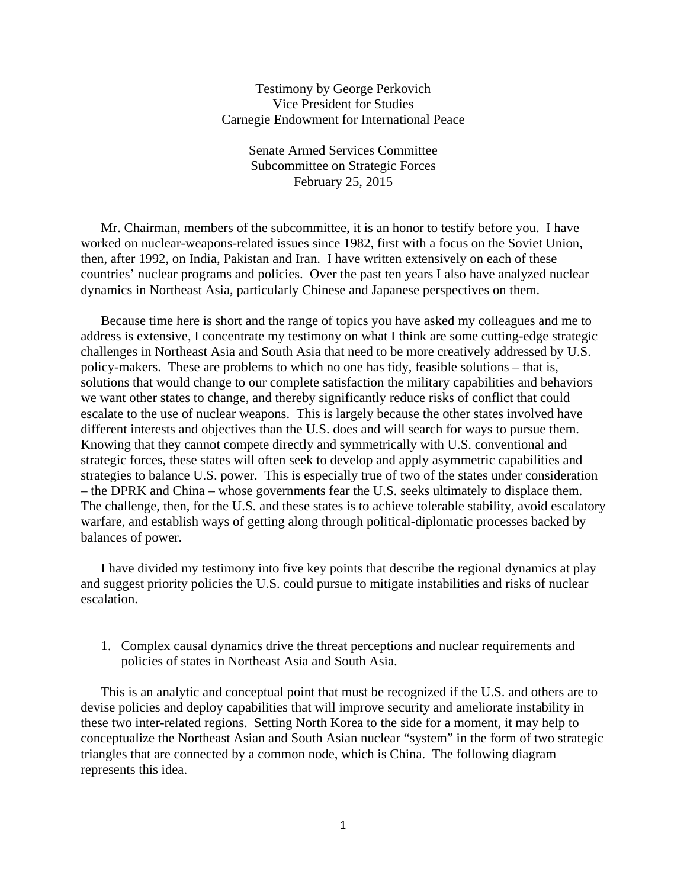#### Testimony by George Perkovich Vice President for Studies Carnegie Endowment for International Peace

Senate Armed Services Committee Subcommittee on Strategic Forces February 25, 2015

<span id="page-21-0"></span>Mr. Chairman, members of the subcommittee, it is an honor to testify before you. I have worked on nuclear-weapons-related issues since 1982, first with a focus on the Soviet Union, then, after 1992, on India, Pakistan and Iran. I have written extensively on each of these countries' nuclear programs and policies. Over the past ten years I also have analyzed nuclear dynamics in Northeast Asia, particularly Chinese and Japanese perspectives on them.

Because time here is short and the range of topics you have asked my colleagues and me to address is extensive, I concentrate my testimony on what I think are some cutting-edge strategic challenges in Northeast Asia and South Asia that need to be more creatively addressed by U.S. policy-makers. These are problems to which no one has tidy, feasible solutions – that is, solutions that would change to our complete satisfaction the military capabilities and behaviors we want other states to change, and thereby significantly reduce risks of conflict that could escalate to the use of nuclear weapons. This is largely because the other states involved have different interests and objectives than the U.S. does and will search for ways to pursue them. Knowing that they cannot compete directly and symmetrically with U.S. conventional and strategic forces, these states will often seek to develop and apply asymmetric capabilities and strategies to balance U.S. power. This is especially true of two of the states under consideration – the DPRK and China – whose governments fear the U.S. seeks ultimately to displace them. The challenge, then, for the U.S. and these states is to achieve tolerable stability, avoid escalatory warfare, and establish ways of getting along through political-diplomatic processes backed by balances of power.

I have divided my testimony into five key points that describe the regional dynamics at play and suggest priority policies the U.S. could pursue to mitigate instabilities and risks of nuclear escalation.

1. Complex causal dynamics drive the threat perceptions and nuclear requirements and policies of states in Northeast Asia and South Asia.

This is an analytic and conceptual point that must be recognized if the U.S. and others are to devise policies and deploy capabilities that will improve security and ameliorate instability in these two inter-related regions. Setting North Korea to the side for a moment, it may help to conceptualize the Northeast Asian and South Asian nuclear "system" in the form of two strategic triangles that are connected by a common node, which is China. The following diagram represents this idea.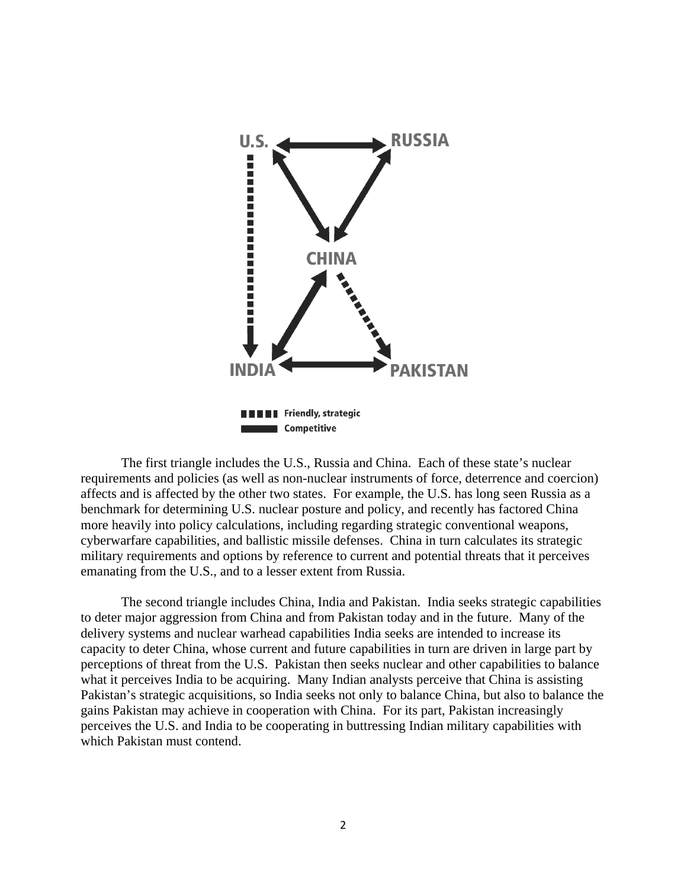

The first triangle includes the U.S., Russia and China. Each of these state's nuclear requirements and policies (as well as non-nuclear instruments of force, deterrence and coercion) affects and is affected by the other two states. For example, the U.S. has long seen Russia as a benchmark for determining U.S. nuclear posture and policy, and recently has factored China more heavily into policy calculations, including regarding strategic conventional weapons, cyberwarfare capabilities, and ballistic missile defenses. China in turn calculates its strategic military requirements and options by reference to current and potential threats that it perceives emanating from the U.S., and to a lesser extent from Russia.

The second triangle includes China, India and Pakistan. India seeks strategic capabilities to deter major aggression from China and from Pakistan today and in the future. Many of the delivery systems and nuclear warhead capabilities India seeks are intended to increase its capacity to deter China, whose current and future capabilities in turn are driven in large part by perceptions of threat from the U.S. Pakistan then seeks nuclear and other capabilities to balance what it perceives India to be acquiring. Many Indian analysts perceive that China is assisting Pakistan's strategic acquisitions, so India seeks not only to balance China, but also to balance the gains Pakistan may achieve in cooperation with China. For its part, Pakistan increasingly perceives the U.S. and India to be cooperating in buttressing Indian military capabilities with which Pakistan must contend.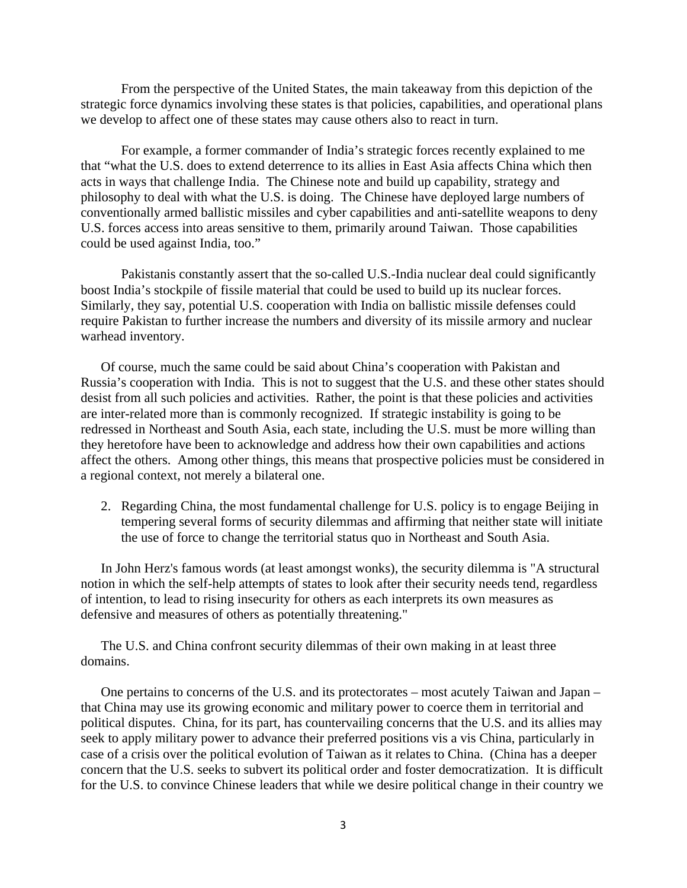From the perspective of the United States, the main takeaway from this depiction of the strategic force dynamics involving these states is that policies, capabilities, and operational plans we develop to affect one of these states may cause others also to react in turn.

For example, a former commander of India's strategic forces recently explained to me that "what the U.S. does to extend deterrence to its allies in East Asia affects China which then acts in ways that challenge India. The Chinese note and build up capability, strategy and philosophy to deal with what the U.S. is doing. The Chinese have deployed large numbers of conventionally armed ballistic missiles and cyber capabilities and anti-satellite weapons to deny U.S. forces access into areas sensitive to them, primarily around Taiwan. Those capabilities could be used against India, too."

Pakistanis constantly assert that the so-called U.S.-India nuclear deal could significantly boost India's stockpile of fissile material that could be used to build up its nuclear forces. Similarly, they say, potential U.S. cooperation with India on ballistic missile defenses could require Pakistan to further increase the numbers and diversity of its missile armory and nuclear warhead inventory.

Of course, much the same could be said about China's cooperation with Pakistan and Russia's cooperation with India. This is not to suggest that the U.S. and these other states should desist from all such policies and activities. Rather, the point is that these policies and activities are inter-related more than is commonly recognized. If strategic instability is going to be redressed in Northeast and South Asia, each state, including the U.S. must be more willing than they heretofore have been to acknowledge and address how their own capabilities and actions affect the others. Among other things, this means that prospective policies must be considered in a regional context, not merely a bilateral one.

2. Regarding China, the most fundamental challenge for U.S. policy is to engage Beijing in tempering several forms of security dilemmas and affirming that neither state will initiate the use of force to change the territorial status quo in Northeast and South Asia.

In John Herz's famous words (at least amongst wonks), the security dilemma is "A structural notion in which the self-help attempts of states to look after their security needs tend, regardless of intention, to lead to rising insecurity for others as each interprets its own measures as defensive and measures of others as potentially threatening."

The U.S. and China confront security dilemmas of their own making in at least three domains.

One pertains to concerns of the U.S. and its protectorates – most acutely Taiwan and Japan – that China may use its growing economic and military power to coerce them in territorial and political disputes. China, for its part, has countervailing concerns that the U.S. and its allies may seek to apply military power to advance their preferred positions vis a vis China, particularly in case of a crisis over the political evolution of Taiwan as it relates to China. (China has a deeper concern that the U.S. seeks to subvert its political order and foster democratization. It is difficult for the U.S. to convince Chinese leaders that while we desire political change in their country we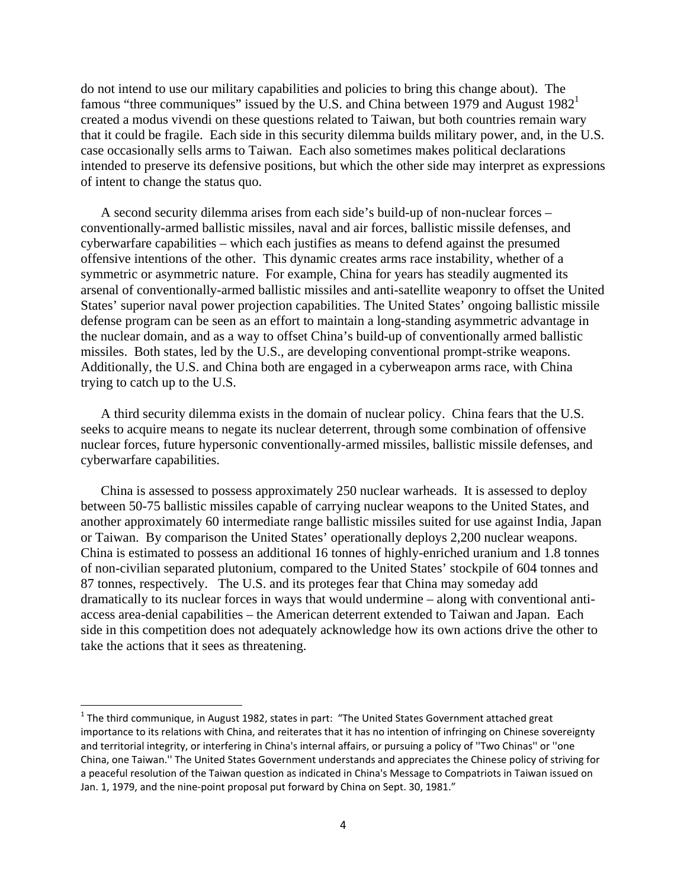do not intend to use our military capabilities and policies to bring this change about). The famous "three communiques" issued by the U.S. and China between 1979 and August  $1982<sup>1</sup>$ created a modus vivendi on these questions related to Taiwan, but both countries remain wary that it could be fragile. Each side in this security dilemma builds military power, and, in the U.S. case occasionally sells arms to Taiwan. Each also sometimes makes political declarations intended to preserve its defensive positions, but which the other side may interpret as expressions of intent to change the status quo.

A second security dilemma arises from each side's build-up of non-nuclear forces – conventionally-armed ballistic missiles, naval and air forces, ballistic missile defenses, and cyberwarfare capabilities – which each justifies as means to defend against the presumed offensive intentions of the other. This dynamic creates arms race instability, whether of a symmetric or asymmetric nature. For example, China for years has steadily augmented its arsenal of conventionally-armed ballistic missiles and anti-satellite weaponry to offset the United States' superior naval power projection capabilities. The United States' ongoing ballistic missile defense program can be seen as an effort to maintain a long-standing asymmetric advantage in the nuclear domain, and as a way to offset China's build-up of conventionally armed ballistic missiles. Both states, led by the U.S., are developing conventional prompt-strike weapons. Additionally, the U.S. and China both are engaged in a cyberweapon arms race, with China trying to catch up to the U.S.

A third security dilemma exists in the domain of nuclear policy. China fears that the U.S. seeks to acquire means to negate its nuclear deterrent, through some combination of offensive nuclear forces, future hypersonic conventionally-armed missiles, ballistic missile defenses, and cyberwarfare capabilities.

China is assessed to possess approximately 250 nuclear warheads. It is assessed to deploy between 50-75 ballistic missiles capable of carrying nuclear weapons to the United States, and another approximately 60 intermediate range ballistic missiles suited for use against India, Japan or Taiwan. By comparison the United States' operationally deploys 2,200 nuclear weapons. China is estimated to possess an additional 16 tonnes of highly-enriched uranium and 1.8 tonnes of non-civilian separated plutonium, compared to the United States' stockpile of 604 tonnes and 87 tonnes, respectively. The U.S. and its proteges fear that China may someday add dramatically to its nuclear forces in ways that would undermine – along with conventional antiaccess area-denial capabilities – the American deterrent extended to Taiwan and Japan. Each side in this competition does not adequately acknowledge how its own actions drive the other to take the actions that it sees as threatening.

 $1$  The third communique, in August 1982, states in part: "The United States Government attached great importance to its relations with China, and reiterates that it has no intention of infringing on Chinese sovereignty and territorial integrity, or interfering in China's internal affairs, or pursuing a policy of ''Two Chinas'' or ''one China, one Taiwan.'' The United States Government understands and appreciates the Chinese policy of striving for a peaceful resolution of the Taiwan question as indicated in China's Message to Compatriots in Taiwan issued on Jan. 1, 1979, and the nine-point proposal put forward by China on Sept. 30, 1981."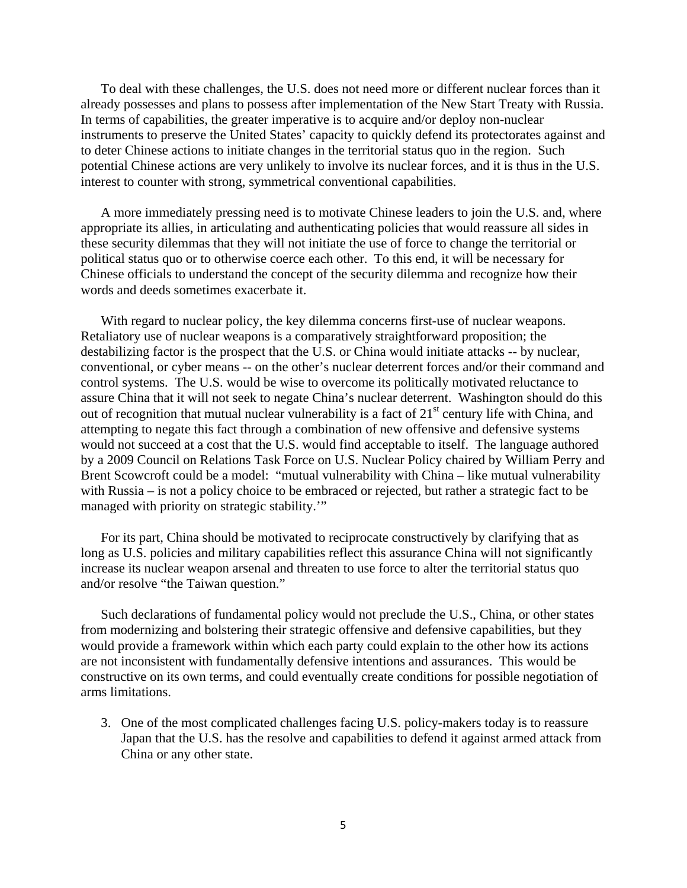To deal with these challenges, the U.S. does not need more or different nuclear forces than it already possesses and plans to possess after implementation of the New Start Treaty with Russia. In terms of capabilities, the greater imperative is to acquire and/or deploy non-nuclear instruments to preserve the United States' capacity to quickly defend its protectorates against and to deter Chinese actions to initiate changes in the territorial status quo in the region. Such potential Chinese actions are very unlikely to involve its nuclear forces, and it is thus in the U.S. interest to counter with strong, symmetrical conventional capabilities.

A more immediately pressing need is to motivate Chinese leaders to join the U.S. and, where appropriate its allies, in articulating and authenticating policies that would reassure all sides in these security dilemmas that they will not initiate the use of force to change the territorial or political status quo or to otherwise coerce each other. To this end, it will be necessary for Chinese officials to understand the concept of the security dilemma and recognize how their words and deeds sometimes exacerbate it.

With regard to nuclear policy, the key dilemma concerns first-use of nuclear weapons. Retaliatory use of nuclear weapons is a comparatively straightforward proposition; the destabilizing factor is the prospect that the U.S. or China would initiate attacks -- by nuclear, conventional, or cyber means -- on the other's nuclear deterrent forces and/or their command and control systems. The U.S. would be wise to overcome its politically motivated reluctance to assure China that it will not seek to negate China's nuclear deterrent. Washington should do this out of recognition that mutual nuclear vulnerability is a fact of  $21<sup>st</sup>$  century life with China, and attempting to negate this fact through a combination of new offensive and defensive systems would not succeed at a cost that the U.S. would find acceptable to itself. The language authored by a 2009 Council on Relations Task Force on U.S. Nuclear Policy chaired by William Perry and Brent Scowcroft could be a model: "mutual vulnerability with China – like mutual vulnerability with Russia – is not a policy choice to be embraced or rejected, but rather a strategic fact to be managed with priority on strategic stability.'"

For its part, China should be motivated to reciprocate constructively by clarifying that as long as U.S. policies and military capabilities reflect this assurance China will not significantly increase its nuclear weapon arsenal and threaten to use force to alter the territorial status quo and/or resolve "the Taiwan question."

Such declarations of fundamental policy would not preclude the U.S., China, or other states from modernizing and bolstering their strategic offensive and defensive capabilities, but they would provide a framework within which each party could explain to the other how its actions are not inconsistent with fundamentally defensive intentions and assurances. This would be constructive on its own terms, and could eventually create conditions for possible negotiation of arms limitations.

3. One of the most complicated challenges facing U.S. policy-makers today is to reassure Japan that the U.S. has the resolve and capabilities to defend it against armed attack from China or any other state.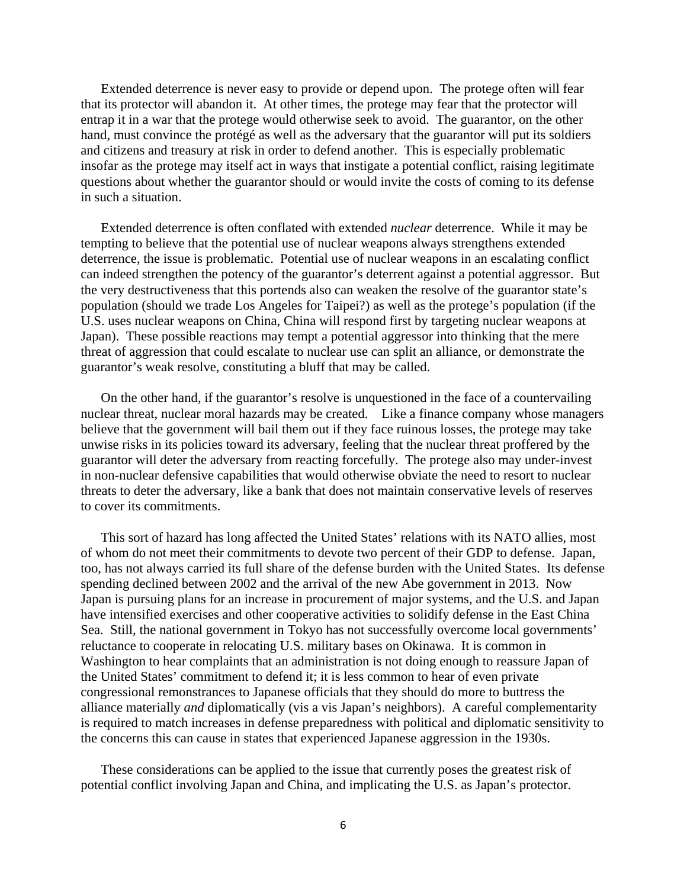Extended deterrence is never easy to provide or depend upon. The protege often will fear that its protector will abandon it. At other times, the protege may fear that the protector will entrap it in a war that the protege would otherwise seek to avoid. The guarantor, on the other hand, must convince the protégé as well as the adversary that the guarantor will put its soldiers and citizens and treasury at risk in order to defend another. This is especially problematic insofar as the protege may itself act in ways that instigate a potential conflict, raising legitimate questions about whether the guarantor should or would invite the costs of coming to its defense in such a situation.

Extended deterrence is often conflated with extended *nuclear* deterrence. While it may be tempting to believe that the potential use of nuclear weapons always strengthens extended deterrence, the issue is problematic. Potential use of nuclear weapons in an escalating conflict can indeed strengthen the potency of the guarantor's deterrent against a potential aggressor. But the very destructiveness that this portends also can weaken the resolve of the guarantor state's population (should we trade Los Angeles for Taipei?) as well as the protege's population (if the U.S. uses nuclear weapons on China, China will respond first by targeting nuclear weapons at Japan). These possible reactions may tempt a potential aggressor into thinking that the mere threat of aggression that could escalate to nuclear use can split an alliance, or demonstrate the guarantor's weak resolve, constituting a bluff that may be called.

On the other hand, if the guarantor's resolve is unquestioned in the face of a countervailing nuclear threat, nuclear moral hazards may be created. Like a finance company whose managers believe that the government will bail them out if they face ruinous losses, the protege may take unwise risks in its policies toward its adversary, feeling that the nuclear threat proffered by the guarantor will deter the adversary from reacting forcefully. The protege also may under-invest in non-nuclear defensive capabilities that would otherwise obviate the need to resort to nuclear threats to deter the adversary, like a bank that does not maintain conservative levels of reserves to cover its commitments.

This sort of hazard has long affected the United States' relations with its NATO allies, most of whom do not meet their commitments to devote two percent of their GDP to defense. Japan, too, has not always carried its full share of the defense burden with the United States. Its defense spending declined between 2002 and the arrival of the new Abe government in 2013. Now Japan is pursuing plans for an increase in procurement of major systems, and the U.S. and Japan have intensified exercises and other cooperative activities to solidify defense in the East China Sea. Still, the national government in Tokyo has not successfully overcome local governments' reluctance to cooperate in relocating U.S. military bases on Okinawa. It is common in Washington to hear complaints that an administration is not doing enough to reassure Japan of the United States' commitment to defend it; it is less common to hear of even private congressional remonstrances to Japanese officials that they should do more to buttress the alliance materially *and* diplomatically (vis a vis Japan's neighbors). A careful complementarity is required to match increases in defense preparedness with political and diplomatic sensitivity to the concerns this can cause in states that experienced Japanese aggression in the 1930s.

These considerations can be applied to the issue that currently poses the greatest risk of potential conflict involving Japan and China, and implicating the U.S. as Japan's protector.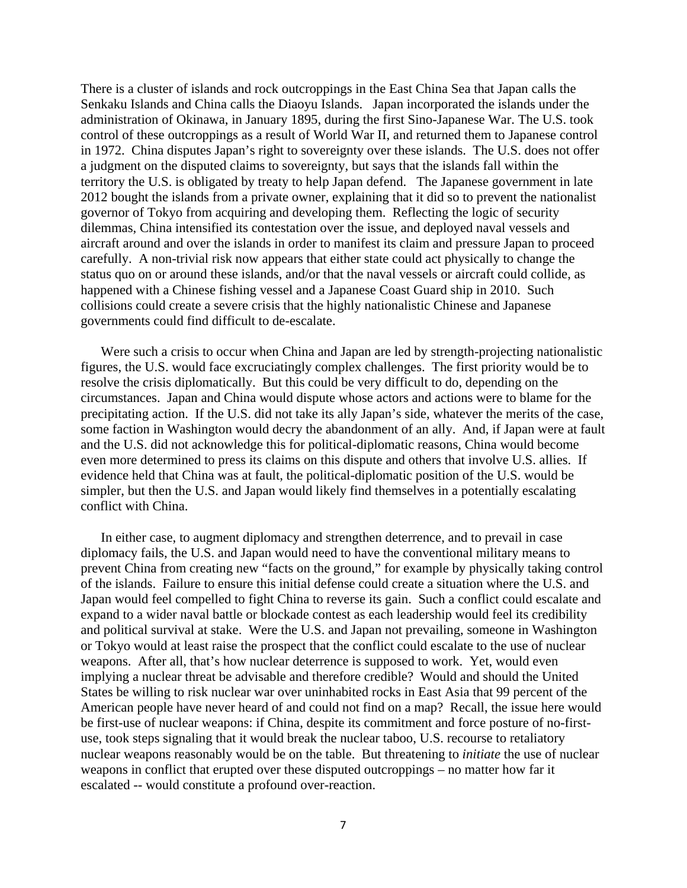There is a cluster of islands and rock outcroppings in the East China Sea that Japan calls the Senkaku Islands and China calls the Diaoyu Islands. Japan incorporated the islands under the administration of Okinawa, in January 1895, during the first Sino-Japanese War. The U.S. took control of these outcroppings as a result of World War II, and returned them to Japanese control in 1972. China disputes Japan's right to sovereignty over these islands. The U.S. does not offer a judgment on the disputed claims to sovereignty, but says that the islands fall within the territory the U.S. is obligated by treaty to help Japan defend. The Japanese government in late 2012 bought the islands from a private owner, explaining that it did so to prevent the nationalist governor of Tokyo from acquiring and developing them. Reflecting the logic of security dilemmas, China intensified its contestation over the issue, and deployed naval vessels and aircraft around and over the islands in order to manifest its claim and pressure Japan to proceed carefully. A non-trivial risk now appears that either state could act physically to change the status quo on or around these islands, and/or that the naval vessels or aircraft could collide, as happened with a Chinese fishing vessel and a Japanese Coast Guard ship in 2010. Such collisions could create a severe crisis that the highly nationalistic Chinese and Japanese governments could find difficult to de-escalate.

Were such a crisis to occur when China and Japan are led by strength-projecting nationalistic figures, the U.S. would face excruciatingly complex challenges. The first priority would be to resolve the crisis diplomatically. But this could be very difficult to do, depending on the circumstances. Japan and China would dispute whose actors and actions were to blame for the precipitating action. If the U.S. did not take its ally Japan's side, whatever the merits of the case, some faction in Washington would decry the abandonment of an ally. And, if Japan were at fault and the U.S. did not acknowledge this for political-diplomatic reasons, China would become even more determined to press its claims on this dispute and others that involve U.S. allies. If evidence held that China was at fault, the political-diplomatic position of the U.S. would be simpler, but then the U.S. and Japan would likely find themselves in a potentially escalating conflict with China.

In either case, to augment diplomacy and strengthen deterrence, and to prevail in case diplomacy fails, the U.S. and Japan would need to have the conventional military means to prevent China from creating new "facts on the ground," for example by physically taking control of the islands. Failure to ensure this initial defense could create a situation where the U.S. and Japan would feel compelled to fight China to reverse its gain. Such a conflict could escalate and expand to a wider naval battle or blockade contest as each leadership would feel its credibility and political survival at stake. Were the U.S. and Japan not prevailing, someone in Washington or Tokyo would at least raise the prospect that the conflict could escalate to the use of nuclear weapons. After all, that's how nuclear deterrence is supposed to work. Yet, would even implying a nuclear threat be advisable and therefore credible? Would and should the United States be willing to risk nuclear war over uninhabited rocks in East Asia that 99 percent of the American people have never heard of and could not find on a map? Recall, the issue here would be first-use of nuclear weapons: if China, despite its commitment and force posture of no-firstuse, took steps signaling that it would break the nuclear taboo, U.S. recourse to retaliatory nuclear weapons reasonably would be on the table. But threatening to *initiate* the use of nuclear weapons in conflict that erupted over these disputed outcroppings – no matter how far it escalated -- would constitute a profound over-reaction.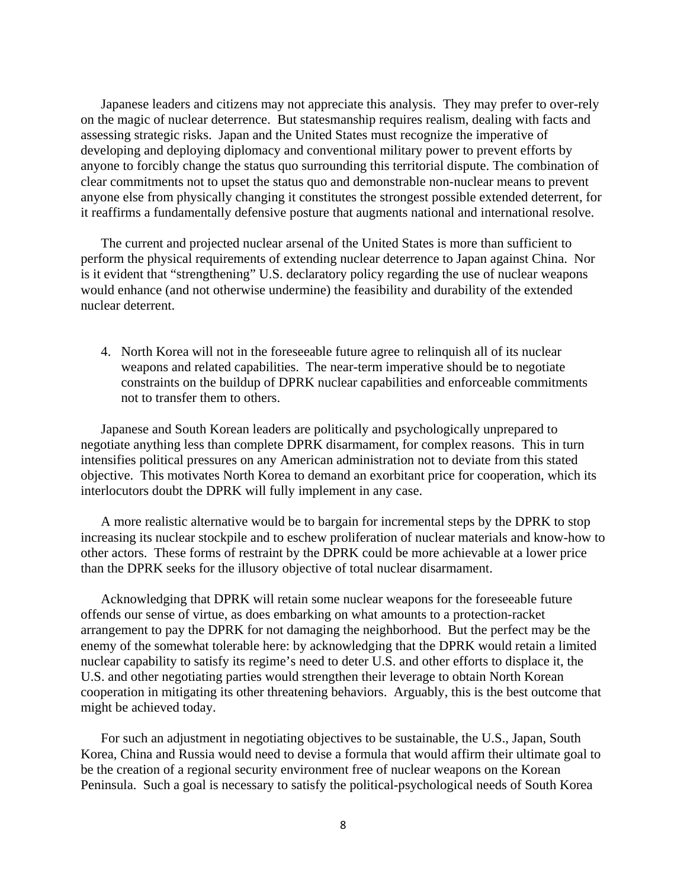Japanese leaders and citizens may not appreciate this analysis. They may prefer to over-rely on the magic of nuclear deterrence. But statesmanship requires realism, dealing with facts and assessing strategic risks. Japan and the United States must recognize the imperative of developing and deploying diplomacy and conventional military power to prevent efforts by anyone to forcibly change the status quo surrounding this territorial dispute. The combination of clear commitments not to upset the status quo and demonstrable non-nuclear means to prevent anyone else from physically changing it constitutes the strongest possible extended deterrent, for it reaffirms a fundamentally defensive posture that augments national and international resolve.

The current and projected nuclear arsenal of the United States is more than sufficient to perform the physical requirements of extending nuclear deterrence to Japan against China. Nor is it evident that "strengthening" U.S. declaratory policy regarding the use of nuclear weapons would enhance (and not otherwise undermine) the feasibility and durability of the extended nuclear deterrent.

4. North Korea will not in the foreseeable future agree to relinquish all of its nuclear weapons and related capabilities. The near-term imperative should be to negotiate constraints on the buildup of DPRK nuclear capabilities and enforceable commitments not to transfer them to others.

Japanese and South Korean leaders are politically and psychologically unprepared to negotiate anything less than complete DPRK disarmament, for complex reasons. This in turn intensifies political pressures on any American administration not to deviate from this stated objective. This motivates North Korea to demand an exorbitant price for cooperation, which its interlocutors doubt the DPRK will fully implement in any case.

A more realistic alternative would be to bargain for incremental steps by the DPRK to stop increasing its nuclear stockpile and to eschew proliferation of nuclear materials and know-how to other actors. These forms of restraint by the DPRK could be more achievable at a lower price than the DPRK seeks for the illusory objective of total nuclear disarmament.

Acknowledging that DPRK will retain some nuclear weapons for the foreseeable future offends our sense of virtue, as does embarking on what amounts to a protection-racket arrangement to pay the DPRK for not damaging the neighborhood. But the perfect may be the enemy of the somewhat tolerable here: by acknowledging that the DPRK would retain a limited nuclear capability to satisfy its regime's need to deter U.S. and other efforts to displace it, the U.S. and other negotiating parties would strengthen their leverage to obtain North Korean cooperation in mitigating its other threatening behaviors. Arguably, this is the best outcome that might be achieved today.

For such an adjustment in negotiating objectives to be sustainable, the U.S., Japan, South Korea, China and Russia would need to devise a formula that would affirm their ultimate goal to be the creation of a regional security environment free of nuclear weapons on the Korean Peninsula. Such a goal is necessary to satisfy the political-psychological needs of South Korea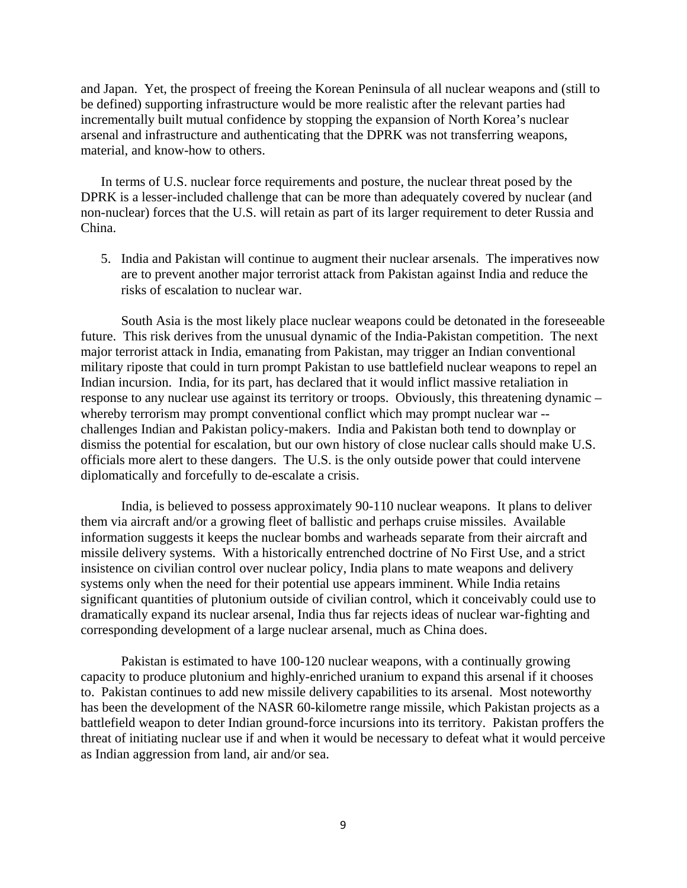and Japan. Yet, the prospect of freeing the Korean Peninsula of all nuclear weapons and (still to be defined) supporting infrastructure would be more realistic after the relevant parties had incrementally built mutual confidence by stopping the expansion of North Korea's nuclear arsenal and infrastructure and authenticating that the DPRK was not transferring weapons, material, and know-how to others.

In terms of U.S. nuclear force requirements and posture, the nuclear threat posed by the DPRK is a lesser-included challenge that can be more than adequately covered by nuclear (and non-nuclear) forces that the U.S. will retain as part of its larger requirement to deter Russia and China.

5. India and Pakistan will continue to augment their nuclear arsenals. The imperatives now are to prevent another major terrorist attack from Pakistan against India and reduce the risks of escalation to nuclear war.

South Asia is the most likely place nuclear weapons could be detonated in the foreseeable future. This risk derives from the unusual dynamic of the India-Pakistan competition. The next major terrorist attack in India, emanating from Pakistan, may trigger an Indian conventional military riposte that could in turn prompt Pakistan to use battlefield nuclear weapons to repel an Indian incursion. India, for its part, has declared that it would inflict massive retaliation in response to any nuclear use against its territory or troops. Obviously, this threatening dynamic – whereby terrorism may prompt conventional conflict which may prompt nuclear war -challenges Indian and Pakistan policy-makers. India and Pakistan both tend to downplay or dismiss the potential for escalation, but our own history of close nuclear calls should make U.S. officials more alert to these dangers. The U.S. is the only outside power that could intervene diplomatically and forcefully to de-escalate a crisis.

India, is believed to possess approximately 90-110 nuclear weapons. It plans to deliver them via aircraft and/or a growing fleet of ballistic and perhaps cruise missiles. Available information suggests it keeps the nuclear bombs and warheads separate from their aircraft and missile delivery systems. With a historically entrenched doctrine of No First Use, and a strict insistence on civilian control over nuclear policy, India plans to mate weapons and delivery systems only when the need for their potential use appears imminent. While India retains significant quantities of plutonium outside of civilian control, which it conceivably could use to dramatically expand its nuclear arsenal, India thus far rejects ideas of nuclear war-fighting and corresponding development of a large nuclear arsenal, much as China does.

Pakistan is estimated to have 100-120 nuclear weapons, with a continually growing capacity to produce plutonium and highly-enriched uranium to expand this arsenal if it chooses to. Pakistan continues to add new missile delivery capabilities to its arsenal. Most noteworthy has been the development of the NASR 60-kilometre range missile, which Pakistan projects as a battlefield weapon to deter Indian ground-force incursions into its territory. Pakistan proffers the threat of initiating nuclear use if and when it would be necessary to defeat what it would perceive as Indian aggression from land, air and/or sea.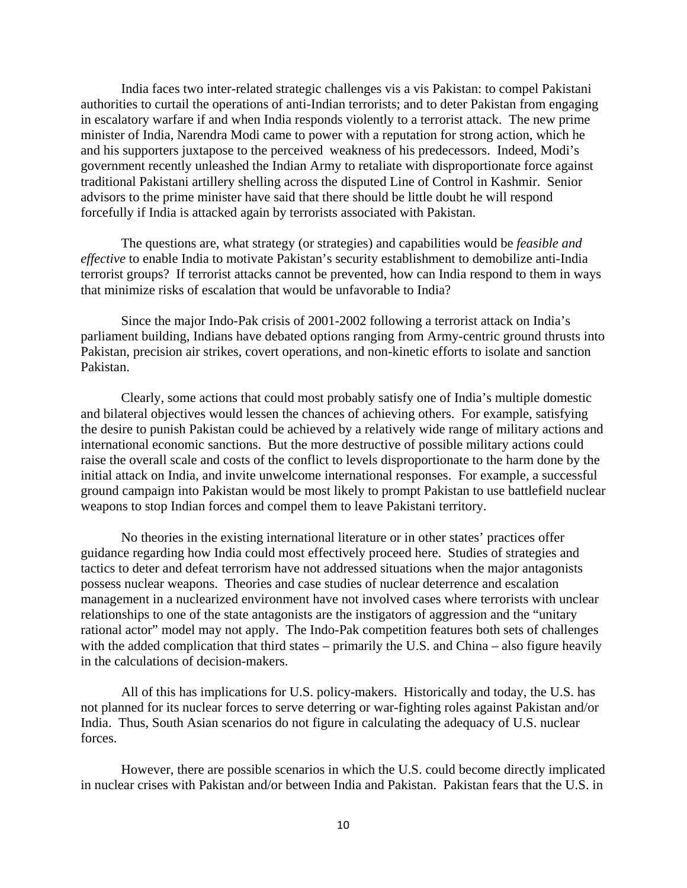India faces two inter-related strategic challenges vis a vis Pakistan: to compel Pakistani authorities to curtail the operations of anti-Indian terrorists; and to deter Pakistan from engaging in escalatory warfare if and when India responds violently to a terrorist attack. The new prime minister of India, Narendra Modi came to power with a reputation for strong action, which he and his supporters juxtapose to the perceived weakness of his predecessors. Indeed, Modi's government recently unleashed the Indian Army to retaliate with disproportionate force against traditional Pakistani artillery shelling across the disputed Line of Control in Kashmir. Senior advisors to the prime minister have said that there should be little doubt he will respond forcefully if India is attacked again by terrorists associated with Pakistan.

The questions are, what strategy (or strategies) and capabilities would be *feasible and effective* to enable India to motivate Pakistan's security establishment to demobilize anti-India terrorist groups? If terrorist attacks cannot be prevented, how can India respond to them in ways that minimize risks of escalation that would be unfavorable to India?

 Since the major Indo-Pak crisis of 2001-2002 following a terrorist attack on India's parliament building, Indians have debated options ranging from Army-centric ground thrusts into Pakistan, precision air strikes, covert operations, and non-kinetic efforts to isolate and sanction Pakistan.

Clearly, some actions that could most probably satisfy one of India's multiple domestic and bilateral objectives would lessen the chances of achieving others. For example, satisfying the desire to punish Pakistan could be achieved by a relatively wide range of military actions and international economic sanctions. But the more destructive of possible military actions could raise the overall scale and costs of the conflict to levels disproportionate to the harm done by the initial attack on India, and invite unwelcome international responses. For example, a successful ground campaign into Pakistan would be most likely to prompt Pakistan to use battlefield nuclear weapons to stop Indian forces and compel them to leave Pakistani territory.

No theories in the existing international literature or in other states' practices offer guidance regarding how India could most effectively proceed here. Studies of strategies and tactics to deter and defeat terrorism have not addressed situations when the major antagonists possess nuclear weapons. Theories and case studies of nuclear deterrence and escalation management in a nuclearized environment have not involved cases where terrorists with unclear relationships to one of the state antagonists are the instigators of aggression and the "unitary rational actor" model may not apply. The Indo-Pak competition features both sets of challenges with the added complication that third states – primarily the U.S. and China – also figure heavily in the calculations of decision-makers.

 All of this has implications for U.S. policy-makers. Historically and today, the U.S. has not planned for its nuclear forces to serve deterring or war-fighting roles against Pakistan and/or India. Thus, South Asian scenarios do not figure in calculating the adequacy of U.S. nuclear forces.

 However, there are possible scenarios in which the U.S. could become directly implicated in nuclear crises with Pakistan and/or between India and Pakistan. Pakistan fears that the U.S. in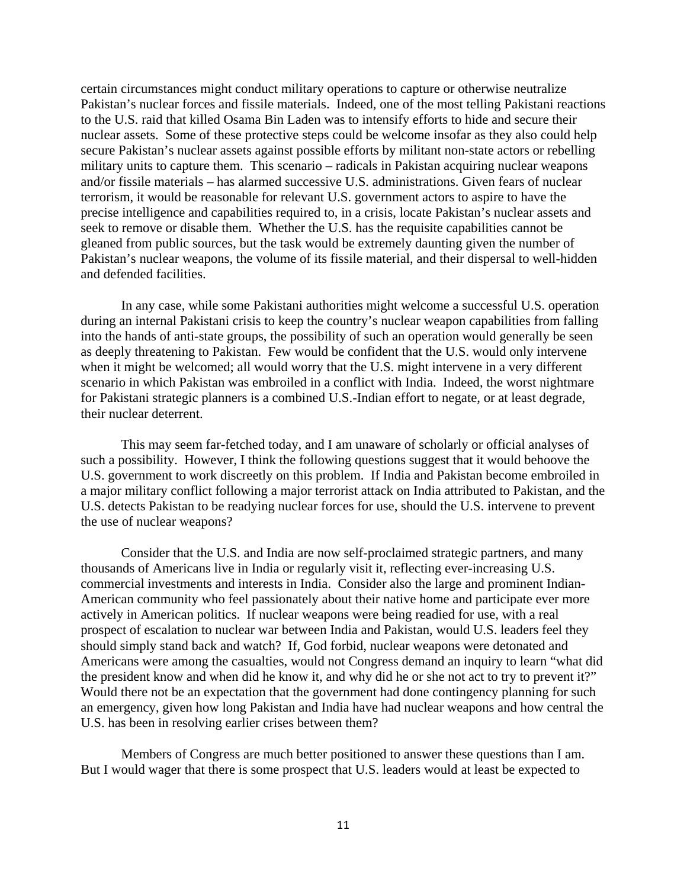certain circumstances might conduct military operations to capture or otherwise neutralize Pakistan's nuclear forces and fissile materials. Indeed, one of the most telling Pakistani reactions to the U.S. raid that killed Osama Bin Laden was to intensify efforts to hide and secure their nuclear assets. Some of these protective steps could be welcome insofar as they also could help secure Pakistan's nuclear assets against possible efforts by militant non-state actors or rebelling military units to capture them. This scenario – radicals in Pakistan acquiring nuclear weapons and/or fissile materials – has alarmed successive U.S. administrations. Given fears of nuclear terrorism, it would be reasonable for relevant U.S. government actors to aspire to have the precise intelligence and capabilities required to, in a crisis, locate Pakistan's nuclear assets and seek to remove or disable them. Whether the U.S. has the requisite capabilities cannot be gleaned from public sources, but the task would be extremely daunting given the number of Pakistan's nuclear weapons, the volume of its fissile material, and their dispersal to well-hidden and defended facilities.

In any case, while some Pakistani authorities might welcome a successful U.S. operation during an internal Pakistani crisis to keep the country's nuclear weapon capabilities from falling into the hands of anti-state groups, the possibility of such an operation would generally be seen as deeply threatening to Pakistan. Few would be confident that the U.S. would only intervene when it might be welcomed; all would worry that the U.S. might intervene in a very different scenario in which Pakistan was embroiled in a conflict with India. Indeed, the worst nightmare for Pakistani strategic planners is a combined U.S.-Indian effort to negate, or at least degrade, their nuclear deterrent.

 This may seem far-fetched today, and I am unaware of scholarly or official analyses of such a possibility. However, I think the following questions suggest that it would behoove the U.S. government to work discreetly on this problem. If India and Pakistan become embroiled in a major military conflict following a major terrorist attack on India attributed to Pakistan, and the U.S. detects Pakistan to be readying nuclear forces for use, should the U.S. intervene to prevent the use of nuclear weapons?

Consider that the U.S. and India are now self-proclaimed strategic partners, and many thousands of Americans live in India or regularly visit it, reflecting ever-increasing U.S. commercial investments and interests in India. Consider also the large and prominent Indian-American community who feel passionately about their native home and participate ever more actively in American politics. If nuclear weapons were being readied for use, with a real prospect of escalation to nuclear war between India and Pakistan, would U.S. leaders feel they should simply stand back and watch? If, God forbid, nuclear weapons were detonated and Americans were among the casualties, would not Congress demand an inquiry to learn "what did the president know and when did he know it, and why did he or she not act to try to prevent it?" Would there not be an expectation that the government had done contingency planning for such an emergency, given how long Pakistan and India have had nuclear weapons and how central the U.S. has been in resolving earlier crises between them?

Members of Congress are much better positioned to answer these questions than I am. But I would wager that there is some prospect that U.S. leaders would at least be expected to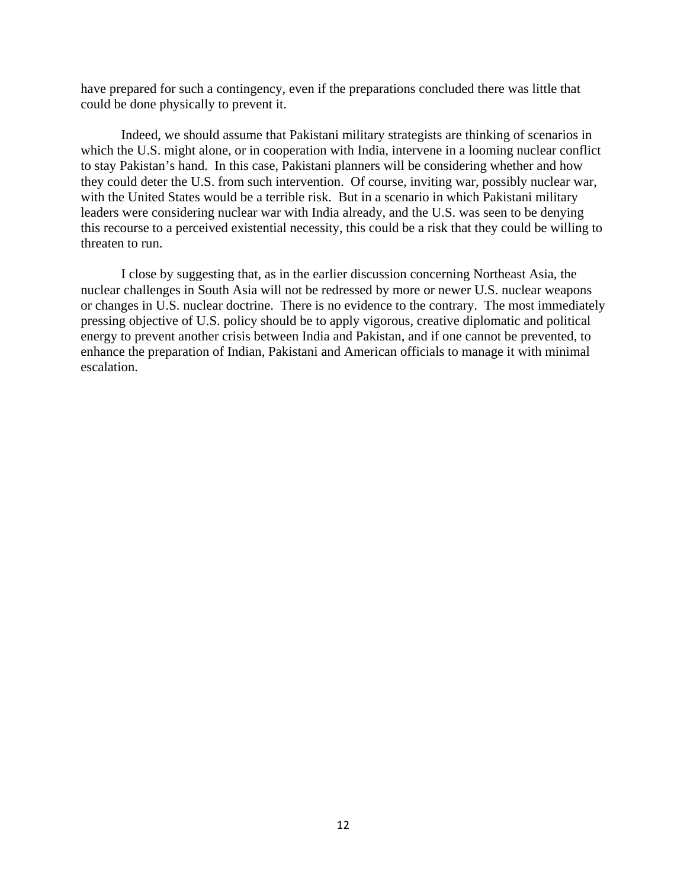have prepared for such a contingency, even if the preparations concluded there was little that could be done physically to prevent it.

Indeed, we should assume that Pakistani military strategists are thinking of scenarios in which the U.S. might alone, or in cooperation with India, intervene in a looming nuclear conflict to stay Pakistan's hand. In this case, Pakistani planners will be considering whether and how they could deter the U.S. from such intervention. Of course, inviting war, possibly nuclear war, with the United States would be a terrible risk. But in a scenario in which Pakistani military leaders were considering nuclear war with India already, and the U.S. was seen to be denying this recourse to a perceived existential necessity, this could be a risk that they could be willing to threaten to run.

I close by suggesting that, as in the earlier discussion concerning Northeast Asia, the nuclear challenges in South Asia will not be redressed by more or newer U.S. nuclear weapons or changes in U.S. nuclear doctrine. There is no evidence to the contrary. The most immediately pressing objective of U.S. policy should be to apply vigorous, creative diplomatic and political energy to prevent another crisis between India and Pakistan, and if one cannot be prevented, to enhance the preparation of Indian, Pakistani and American officials to manage it with minimal escalation.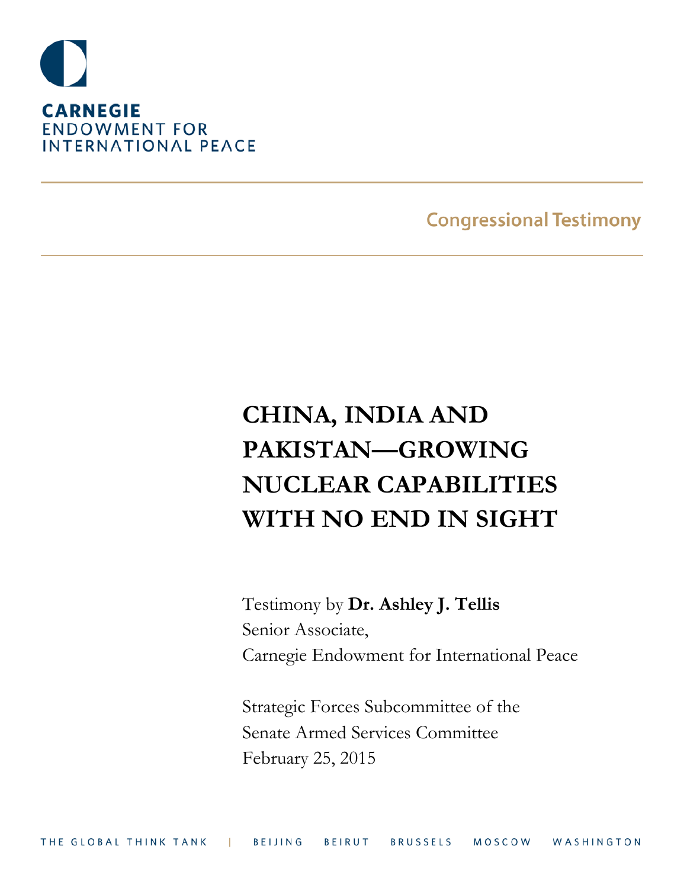<span id="page-33-0"></span>

# **Congressional Testimony**

# **CHINA, INDIA AND PAKISTAN—GROWING NUCLEAR CAPABILITIES WITH NO END IN SIGHT**

Testimony by **Dr. Ashley J. Tellis** Senior Associate, Carnegie Endowment for International Peace

Strategic Forces Subcommittee of the Senate Armed Services Committee February 25, 2015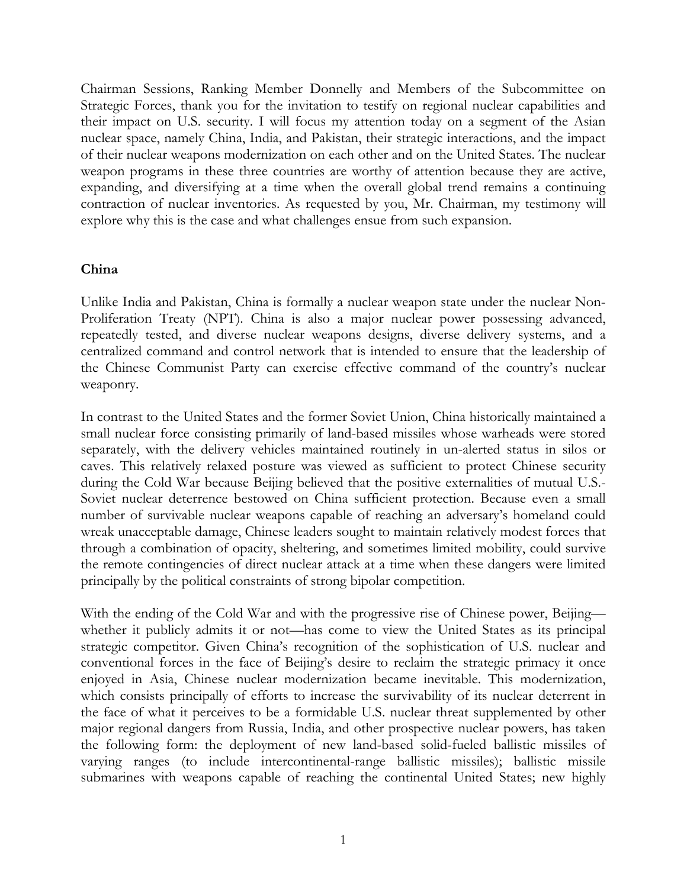Chairman Sessions, Ranking Member Donnelly and Members of the Subcommittee on Strategic Forces, thank you for the invitation to testify on regional nuclear capabilities and their impact on U.S. security. I will focus my attention today on a segment of the Asian nuclear space, namely China, India, and Pakistan, their strategic interactions, and the impact of their nuclear weapons modernization on each other and on the United States. The nuclear weapon programs in these three countries are worthy of attention because they are active, expanding, and diversifying at a time when the overall global trend remains a continuing contraction of nuclear inventories. As requested by you, Mr. Chairman, my testimony will explore why this is the case and what challenges ensue from such expansion.

# **China**

Unlike India and Pakistan, China is formally a nuclear weapon state under the nuclear Non-Proliferation Treaty (NPT). China is also a major nuclear power possessing advanced, repeatedly tested, and diverse nuclear weapons designs, diverse delivery systems, and a centralized command and control network that is intended to ensure that the leadership of the Chinese Communist Party can exercise effective command of the country's nuclear weaponry.

In contrast to the United States and the former Soviet Union, China historically maintained a small nuclear force consisting primarily of land-based missiles whose warheads were stored separately, with the delivery vehicles maintained routinely in un-alerted status in silos or caves. This relatively relaxed posture was viewed as sufficient to protect Chinese security during the Cold War because Beijing believed that the positive externalities of mutual U.S.- Soviet nuclear deterrence bestowed on China sufficient protection. Because even a small number of survivable nuclear weapons capable of reaching an adversary's homeland could wreak unacceptable damage, Chinese leaders sought to maintain relatively modest forces that through a combination of opacity, sheltering, and sometimes limited mobility, could survive the remote contingencies of direct nuclear attack at a time when these dangers were limited principally by the political constraints of strong bipolar competition.

With the ending of the Cold War and with the progressive rise of Chinese power, Beijing whether it publicly admits it or not—has come to view the United States as its principal strategic competitor. Given China's recognition of the sophistication of U.S. nuclear and conventional forces in the face of Beijing's desire to reclaim the strategic primacy it once enjoyed in Asia, Chinese nuclear modernization became inevitable. This modernization, which consists principally of efforts to increase the survivability of its nuclear deterrent in the face of what it perceives to be a formidable U.S. nuclear threat supplemented by other major regional dangers from Russia, India, and other prospective nuclear powers, has taken the following form: the deployment of new land-based solid-fueled ballistic missiles of varying ranges (to include intercontinental-range ballistic missiles); ballistic missile submarines with weapons capable of reaching the continental United States; new highly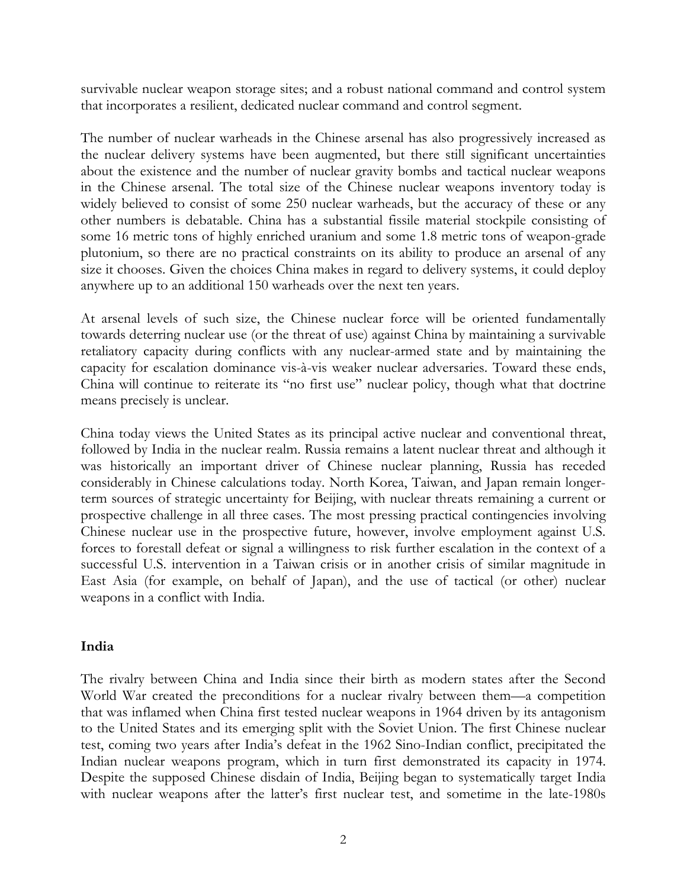survivable nuclear weapon storage sites; and a robust national command and control system that incorporates a resilient, dedicated nuclear command and control segment.

The number of nuclear warheads in the Chinese arsenal has also progressively increased as the nuclear delivery systems have been augmented, but there still significant uncertainties about the existence and the number of nuclear gravity bombs and tactical nuclear weapons in the Chinese arsenal. The total size of the Chinese nuclear weapons inventory today is widely believed to consist of some 250 nuclear warheads, but the accuracy of these or any other numbers is debatable. China has a substantial fissile material stockpile consisting of some 16 metric tons of highly enriched uranium and some 1.8 metric tons of weapon-grade plutonium, so there are no practical constraints on its ability to produce an arsenal of any size it chooses. Given the choices China makes in regard to delivery systems, it could deploy anywhere up to an additional 150 warheads over the next ten years.

At arsenal levels of such size, the Chinese nuclear force will be oriented fundamentally towards deterring nuclear use (or the threat of use) against China by maintaining a survivable retaliatory capacity during conflicts with any nuclear-armed state and by maintaining the capacity for escalation dominance vis-à-vis weaker nuclear adversaries. Toward these ends, China will continue to reiterate its "no first use" nuclear policy, though what that doctrine means precisely is unclear.

China today views the United States as its principal active nuclear and conventional threat, followed by India in the nuclear realm. Russia remains a latent nuclear threat and although it was historically an important driver of Chinese nuclear planning, Russia has receded considerably in Chinese calculations today. North Korea, Taiwan, and Japan remain longerterm sources of strategic uncertainty for Beijing, with nuclear threats remaining a current or prospective challenge in all three cases. The most pressing practical contingencies involving Chinese nuclear use in the prospective future, however, involve employment against U.S. forces to forestall defeat or signal a willingness to risk further escalation in the context of a successful U.S. intervention in a Taiwan crisis or in another crisis of similar magnitude in East Asia (for example, on behalf of Japan), and the use of tactical (or other) nuclear weapons in a conflict with India.

# **India**

The rivalry between China and India since their birth as modern states after the Second World War created the preconditions for a nuclear rivalry between them—a competition that was inflamed when China first tested nuclear weapons in 1964 driven by its antagonism to the United States and its emerging split with the Soviet Union. The first Chinese nuclear test, coming two years after India's defeat in the 1962 Sino-Indian conflict, precipitated the Indian nuclear weapons program, which in turn first demonstrated its capacity in 1974. Despite the supposed Chinese disdain of India, Beijing began to systematically target India with nuclear weapons after the latter's first nuclear test, and sometime in the late-1980s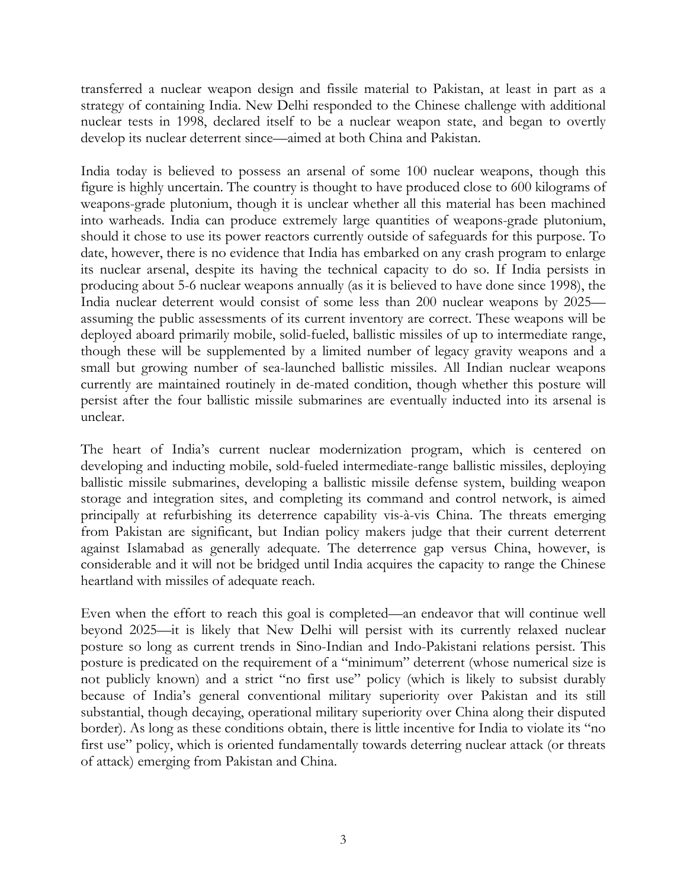transferred a nuclear weapon design and fissile material to Pakistan, at least in part as a strategy of containing India. New Delhi responded to the Chinese challenge with additional nuclear tests in 1998, declared itself to be a nuclear weapon state, and began to overtly develop its nuclear deterrent since—aimed at both China and Pakistan.

India today is believed to possess an arsenal of some 100 nuclear weapons, though this figure is highly uncertain. The country is thought to have produced close to 600 kilograms of weapons-grade plutonium, though it is unclear whether all this material has been machined into warheads. India can produce extremely large quantities of weapons-grade plutonium, should it chose to use its power reactors currently outside of safeguards for this purpose. To date, however, there is no evidence that India has embarked on any crash program to enlarge its nuclear arsenal, despite its having the technical capacity to do so. If India persists in producing about 5-6 nuclear weapons annually (as it is believed to have done since 1998), the India nuclear deterrent would consist of some less than 200 nuclear weapons by 2025 assuming the public assessments of its current inventory are correct. These weapons will be deployed aboard primarily mobile, solid-fueled, ballistic missiles of up to intermediate range, though these will be supplemented by a limited number of legacy gravity weapons and a small but growing number of sea-launched ballistic missiles. All Indian nuclear weapons currently are maintained routinely in de-mated condition, though whether this posture will persist after the four ballistic missile submarines are eventually inducted into its arsenal is unclear.

The heart of India's current nuclear modernization program, which is centered on developing and inducting mobile, sold-fueled intermediate-range ballistic missiles, deploying ballistic missile submarines, developing a ballistic missile defense system, building weapon storage and integration sites, and completing its command and control network, is aimed principally at refurbishing its deterrence capability vis-à-vis China. The threats emerging from Pakistan are significant, but Indian policy makers judge that their current deterrent against Islamabad as generally adequate. The deterrence gap versus China, however, is considerable and it will not be bridged until India acquires the capacity to range the Chinese heartland with missiles of adequate reach.

Even when the effort to reach this goal is completed—an endeavor that will continue well beyond 2025—it is likely that New Delhi will persist with its currently relaxed nuclear posture so long as current trends in Sino-Indian and Indo-Pakistani relations persist. This posture is predicated on the requirement of a "minimum" deterrent (whose numerical size is not publicly known) and a strict "no first use" policy (which is likely to subsist durably because of India's general conventional military superiority over Pakistan and its still substantial, though decaying, operational military superiority over China along their disputed border). As long as these conditions obtain, there is little incentive for India to violate its "no first use" policy, which is oriented fundamentally towards deterring nuclear attack (or threats of attack) emerging from Pakistan and China.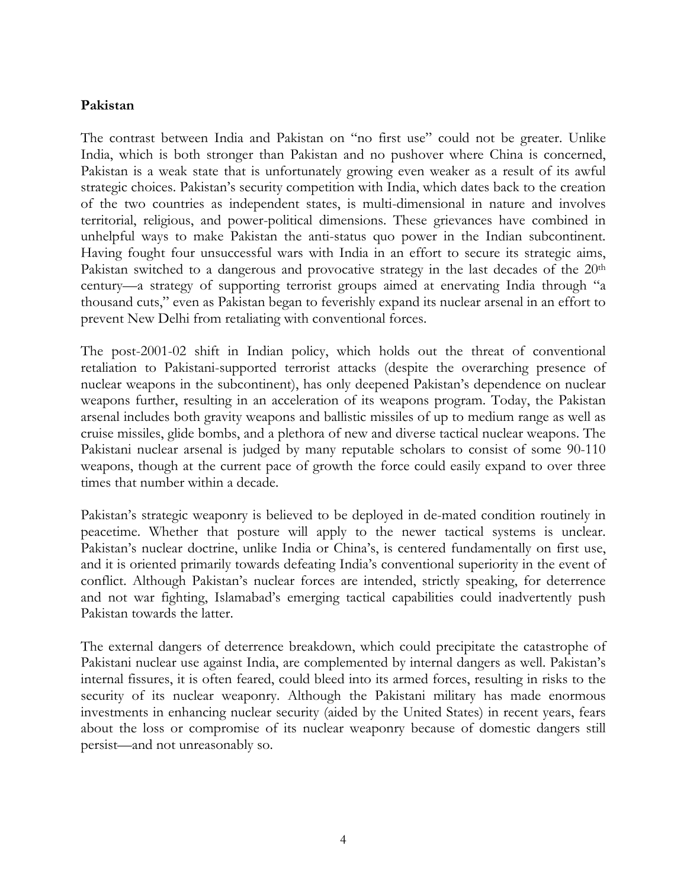# **Pakistan**

The contrast between India and Pakistan on "no first use" could not be greater. Unlike India, which is both stronger than Pakistan and no pushover where China is concerned, Pakistan is a weak state that is unfortunately growing even weaker as a result of its awful strategic choices. Pakistan's security competition with India, which dates back to the creation of the two countries as independent states, is multi-dimensional in nature and involves territorial, religious, and power-political dimensions. These grievances have combined in unhelpful ways to make Pakistan the anti-status quo power in the Indian subcontinent. Having fought four unsuccessful wars with India in an effort to secure its strategic aims, Pakistan switched to a dangerous and provocative strategy in the last decades of the 20<sup>th</sup> century—a strategy of supporting terrorist groups aimed at enervating India through "a thousand cuts," even as Pakistan began to feverishly expand its nuclear arsenal in an effort to prevent New Delhi from retaliating with conventional forces.

The post-2001-02 shift in Indian policy, which holds out the threat of conventional retaliation to Pakistani-supported terrorist attacks (despite the overarching presence of nuclear weapons in the subcontinent), has only deepened Pakistan's dependence on nuclear weapons further, resulting in an acceleration of its weapons program. Today, the Pakistan arsenal includes both gravity weapons and ballistic missiles of up to medium range as well as cruise missiles, glide bombs, and a plethora of new and diverse tactical nuclear weapons. The Pakistani nuclear arsenal is judged by many reputable scholars to consist of some 90-110 weapons, though at the current pace of growth the force could easily expand to over three times that number within a decade.

Pakistan's strategic weaponry is believed to be deployed in de-mated condition routinely in peacetime. Whether that posture will apply to the newer tactical systems is unclear. Pakistan's nuclear doctrine, unlike India or China's, is centered fundamentally on first use, and it is oriented primarily towards defeating India's conventional superiority in the event of conflict. Although Pakistan's nuclear forces are intended, strictly speaking, for deterrence and not war fighting, Islamabad's emerging tactical capabilities could inadvertently push Pakistan towards the latter.

The external dangers of deterrence breakdown, which could precipitate the catastrophe of Pakistani nuclear use against India, are complemented by internal dangers as well. Pakistan's internal fissures, it is often feared, could bleed into its armed forces, resulting in risks to the security of its nuclear weaponry. Although the Pakistani military has made enormous investments in enhancing nuclear security (aided by the United States) in recent years, fears about the loss or compromise of its nuclear weaponry because of domestic dangers still persist—and not unreasonably so.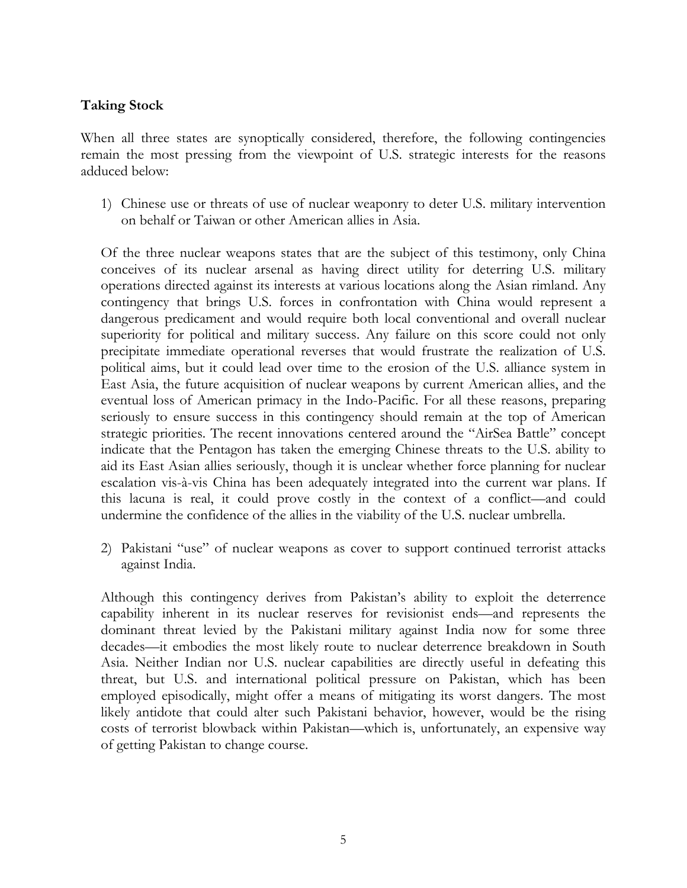# **Taking Stock**

When all three states are synoptically considered, therefore, the following contingencies remain the most pressing from the viewpoint of U.S. strategic interests for the reasons adduced below:

1) Chinese use or threats of use of nuclear weaponry to deter U.S. military intervention on behalf or Taiwan or other American allies in Asia.

Of the three nuclear weapons states that are the subject of this testimony, only China conceives of its nuclear arsenal as having direct utility for deterring U.S. military operations directed against its interests at various locations along the Asian rimland. Any contingency that brings U.S. forces in confrontation with China would represent a dangerous predicament and would require both local conventional and overall nuclear superiority for political and military success. Any failure on this score could not only precipitate immediate operational reverses that would frustrate the realization of U.S. political aims, but it could lead over time to the erosion of the U.S. alliance system in East Asia, the future acquisition of nuclear weapons by current American allies, and the eventual loss of American primacy in the Indo-Pacific. For all these reasons, preparing seriously to ensure success in this contingency should remain at the top of American strategic priorities. The recent innovations centered around the "AirSea Battle" concept indicate that the Pentagon has taken the emerging Chinese threats to the U.S. ability to aid its East Asian allies seriously, though it is unclear whether force planning for nuclear escalation vis-à-vis China has been adequately integrated into the current war plans. If this lacuna is real, it could prove costly in the context of a conflict—and could undermine the confidence of the allies in the viability of the U.S. nuclear umbrella.

2) Pakistani "use" of nuclear weapons as cover to support continued terrorist attacks against India.

Although this contingency derives from Pakistan's ability to exploit the deterrence capability inherent in its nuclear reserves for revisionist ends—and represents the dominant threat levied by the Pakistani military against India now for some three decades—it embodies the most likely route to nuclear deterrence breakdown in South Asia. Neither Indian nor U.S. nuclear capabilities are directly useful in defeating this threat, but U.S. and international political pressure on Pakistan, which has been employed episodically, might offer a means of mitigating its worst dangers. The most likely antidote that could alter such Pakistani behavior, however, would be the rising costs of terrorist blowback within Pakistan—which is, unfortunately, an expensive way of getting Pakistan to change course.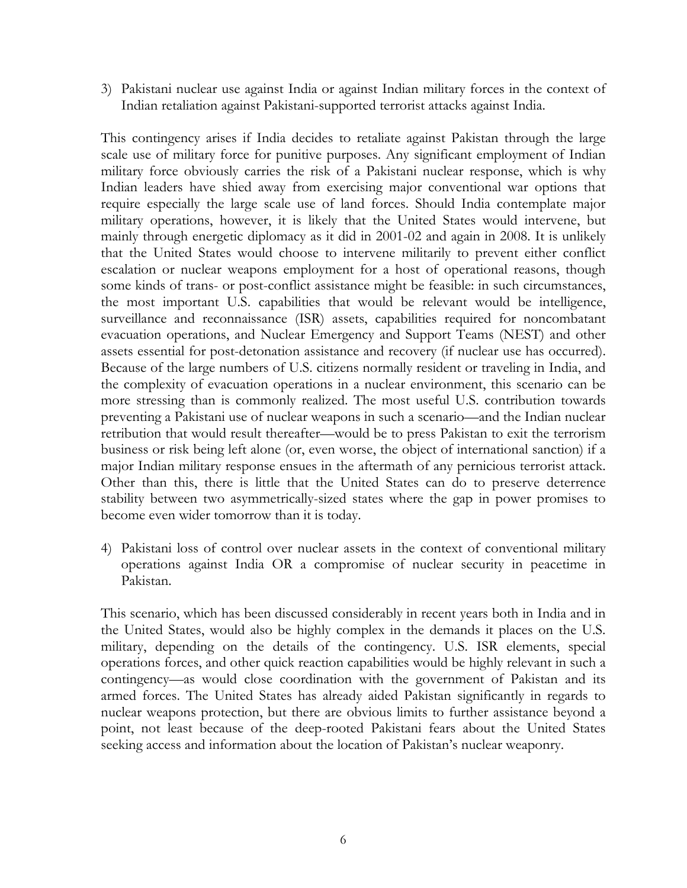3) Pakistani nuclear use against India or against Indian military forces in the context of Indian retaliation against Pakistani-supported terrorist attacks against India.

This contingency arises if India decides to retaliate against Pakistan through the large scale use of military force for punitive purposes. Any significant employment of Indian military force obviously carries the risk of a Pakistani nuclear response, which is why Indian leaders have shied away from exercising major conventional war options that require especially the large scale use of land forces. Should India contemplate major military operations, however, it is likely that the United States would intervene, but mainly through energetic diplomacy as it did in 2001-02 and again in 2008. It is unlikely that the United States would choose to intervene militarily to prevent either conflict escalation or nuclear weapons employment for a host of operational reasons, though some kinds of trans- or post-conflict assistance might be feasible: in such circumstances, the most important U.S. capabilities that would be relevant would be intelligence, surveillance and reconnaissance (ISR) assets, capabilities required for noncombatant evacuation operations, and Nuclear Emergency and Support Teams (NEST) and other assets essential for post-detonation assistance and recovery (if nuclear use has occurred). Because of the large numbers of U.S. citizens normally resident or traveling in India, and the complexity of evacuation operations in a nuclear environment, this scenario can be more stressing than is commonly realized. The most useful U.S. contribution towards preventing a Pakistani use of nuclear weapons in such a scenario—and the Indian nuclear retribution that would result thereafter—would be to press Pakistan to exit the terrorism business or risk being left alone (or, even worse, the object of international sanction) if a major Indian military response ensues in the aftermath of any pernicious terrorist attack. Other than this, there is little that the United States can do to preserve deterrence stability between two asymmetrically-sized states where the gap in power promises to become even wider tomorrow than it is today.

4) Pakistani loss of control over nuclear assets in the context of conventional military operations against India OR a compromise of nuclear security in peacetime in Pakistan.

This scenario, which has been discussed considerably in recent years both in India and in the United States, would also be highly complex in the demands it places on the U.S. military, depending on the details of the contingency. U.S. ISR elements, special operations forces, and other quick reaction capabilities would be highly relevant in such a contingency—as would close coordination with the government of Pakistan and its armed forces. The United States has already aided Pakistan significantly in regards to nuclear weapons protection, but there are obvious limits to further assistance beyond a point, not least because of the deep-rooted Pakistani fears about the United States seeking access and information about the location of Pakistan's nuclear weaponry.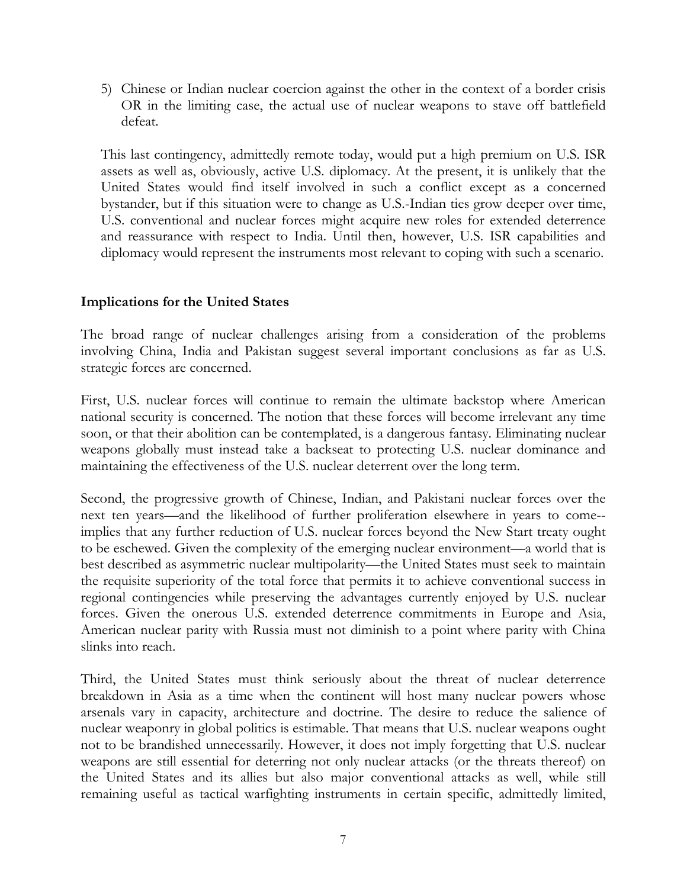5) Chinese or Indian nuclear coercion against the other in the context of a border crisis OR in the limiting case, the actual use of nuclear weapons to stave off battlefield defeat.

This last contingency, admittedly remote today, would put a high premium on U.S. ISR assets as well as, obviously, active U.S. diplomacy. At the present, it is unlikely that the United States would find itself involved in such a conflict except as a concerned bystander, but if this situation were to change as U.S.-Indian ties grow deeper over time, U.S. conventional and nuclear forces might acquire new roles for extended deterrence and reassurance with respect to India. Until then, however, U.S. ISR capabilities and diplomacy would represent the instruments most relevant to coping with such a scenario.

# **Implications for the United States**

The broad range of nuclear challenges arising from a consideration of the problems involving China, India and Pakistan suggest several important conclusions as far as U.S. strategic forces are concerned.

First, U.S. nuclear forces will continue to remain the ultimate backstop where American national security is concerned. The notion that these forces will become irrelevant any time soon, or that their abolition can be contemplated, is a dangerous fantasy. Eliminating nuclear weapons globally must instead take a backseat to protecting U.S. nuclear dominance and maintaining the effectiveness of the U.S. nuclear deterrent over the long term.

Second, the progressive growth of Chinese, Indian, and Pakistani nuclear forces over the next ten years—and the likelihood of further proliferation elsewhere in years to come- implies that any further reduction of U.S. nuclear forces beyond the New Start treaty ought to be eschewed. Given the complexity of the emerging nuclear environment—a world that is best described as asymmetric nuclear multipolarity—the United States must seek to maintain the requisite superiority of the total force that permits it to achieve conventional success in regional contingencies while preserving the advantages currently enjoyed by U.S. nuclear forces. Given the onerous U.S. extended deterrence commitments in Europe and Asia, American nuclear parity with Russia must not diminish to a point where parity with China slinks into reach.

Third, the United States must think seriously about the threat of nuclear deterrence breakdown in Asia as a time when the continent will host many nuclear powers whose arsenals vary in capacity, architecture and doctrine. The desire to reduce the salience of nuclear weaponry in global politics is estimable. That means that U.S. nuclear weapons ought not to be brandished unnecessarily. However, it does not imply forgetting that U.S. nuclear weapons are still essential for deterring not only nuclear attacks (or the threats thereof) on the United States and its allies but also major conventional attacks as well, while still remaining useful as tactical warfighting instruments in certain specific, admittedly limited,